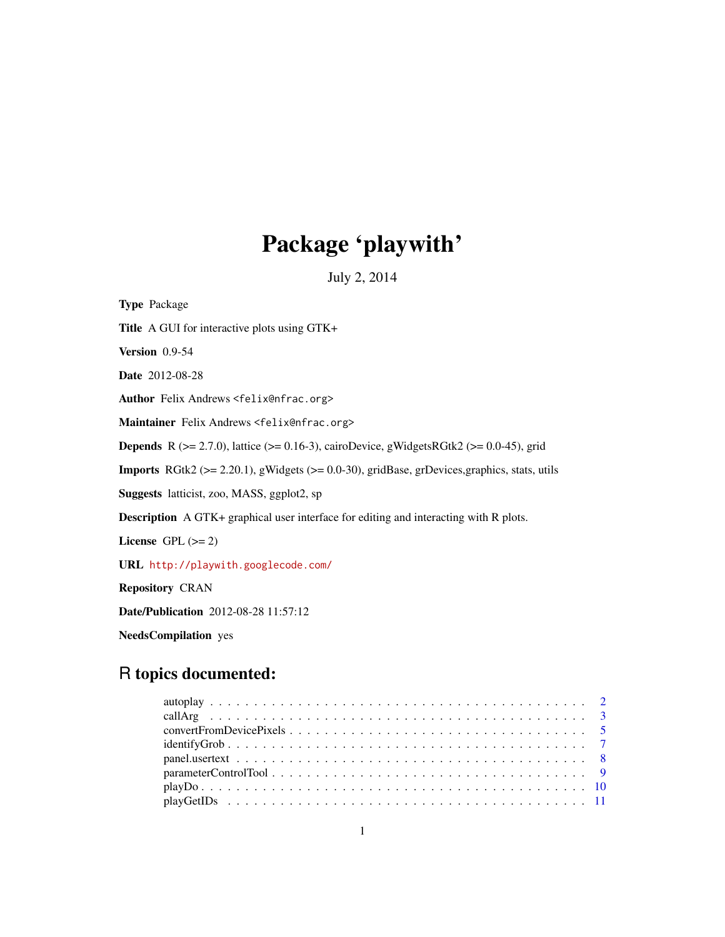# Package 'playwith'

July 2, 2014

<span id="page-0-0"></span>Type Package Title A GUI for interactive plots using GTK+ Version 0.9-54 Date 2012-08-28 Author Felix Andrews <felix@nfrac.org> Maintainer Felix Andrews <felix@nfrac.org> **Depends** R ( $>= 2.7.0$ ), lattice ( $>= 0.16-3$ ), cairoDevice, gWidgetsRGtk2 ( $>= 0.0-45$ ), grid **Imports** RGtk2 ( $>= 2.20.1$ ), gWidgets ( $>= 0.0-30$ ), gridBase, grDevices, graphics, stats, utils Suggests latticist, zoo, MASS, ggplot2, sp Description A GTK+ graphical user interface for editing and interacting with R plots. License GPL  $(>= 2)$ URL <http://playwith.googlecode.com/> Repository CRAN Date/Publication 2012-08-28 11:57:12

NeedsCompilation yes

# R topics documented:

| $parameterControl Tool \dots \dots \dots \dots \dots \dots \dots \dots \dots \dots \dots \dots \dots \dots \dots \dots$ |  |
|-------------------------------------------------------------------------------------------------------------------------|--|
|                                                                                                                         |  |
|                                                                                                                         |  |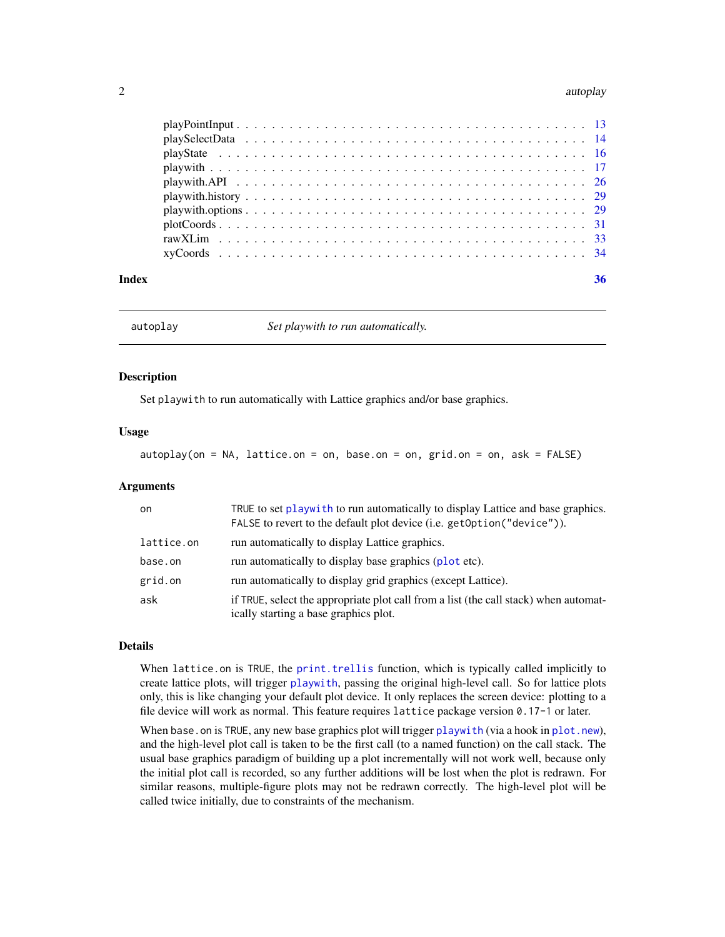#### <span id="page-1-0"></span>2 autoplays and the contract of the contract of the contract of the contract of the contract of the contract of the contract of the contract of the contract of the contract of the contract of the contract of the contract o

| Index | 36 |
|-------|----|
|       |    |
|       |    |
|       |    |
|       |    |
|       |    |
|       |    |
|       |    |
|       |    |
|       |    |
|       |    |

<span id="page-1-1"></span>

autoplay *Set playwith to run automatically.*

#### Description

Set playwith to run automatically with Lattice graphics and/or base graphics.

#### Usage

autoplay(on = NA, lattice.on = on, base.on = on, grid.on = on, ask = FALSE)

# Arguments

| on.        | TRUE to set play with to run automatically to display Lattice and base graphics.<br>FALSE to revert to the default plot device (i.e. getOption("device")). |
|------------|------------------------------------------------------------------------------------------------------------------------------------------------------------|
| lattice.on | run automatically to display Lattice graphics.                                                                                                             |
| base.on    | run automatically to display base graphics (plot etc).                                                                                                     |
| grid.on    | run automatically to display grid graphics (except Lattice).                                                                                               |
| ask        | if TRUE, select the appropriate plot call from a list (the call stack) when automat-<br>ically starting a base graphics plot.                              |

#### Details

When lattice.on is TRUE, the [print.trellis](#page-0-0) function, which is typically called implicitly to create lattice plots, will trigger [playwith](#page-16-1), passing the original high-level call. So for lattice plots only, this is like changing your default plot device. It only replaces the screen device: plotting to a file device will work as normal. This feature requires lattice package version 0.17-1 or later.

When base, on is TRUE, any new base graphics plot will trigger [playwith](#page-16-1) (via a hook in [plot.new](#page-0-0)), and the high-level plot call is taken to be the first call (to a named function) on the call stack. The usual base graphics paradigm of building up a plot incrementally will not work well, because only the initial plot call is recorded, so any further additions will be lost when the plot is redrawn. For similar reasons, multiple-figure plots may not be redrawn correctly. The high-level plot will be called twice initially, due to constraints of the mechanism.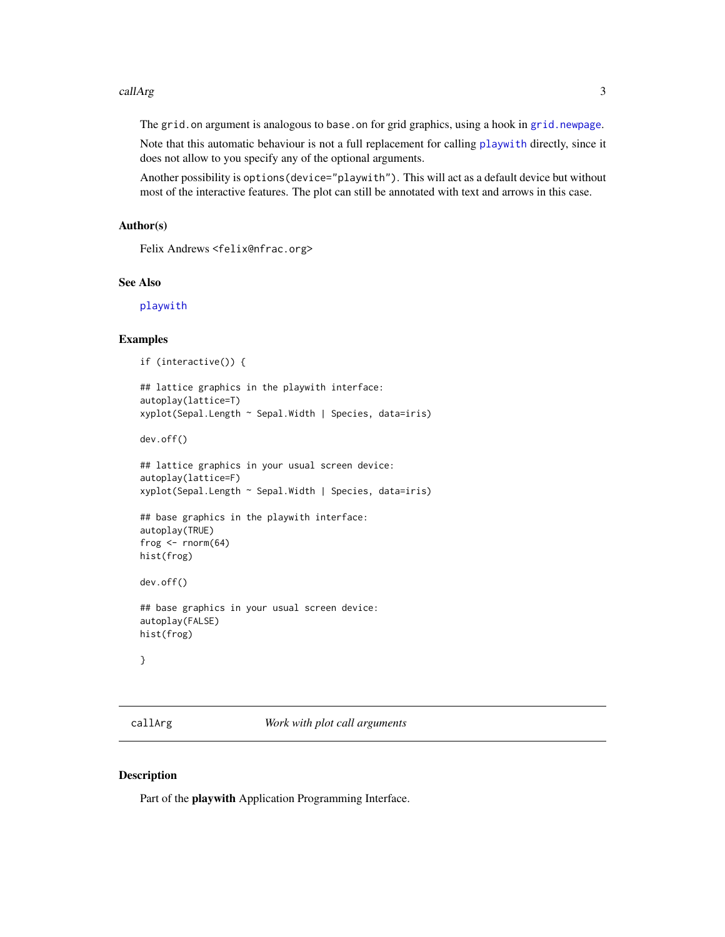#### <span id="page-2-0"></span>callArg 3

The grid.on argument is analogous to base.on for grid graphics, using a hook in [grid.newpage](#page-0-0).

Note that this automatic behaviour is not a full replacement for calling [playwith](#page-16-1) directly, since it does not allow to you specify any of the optional arguments.

Another possibility is options(device="playwith"). This will act as a default device but without most of the interactive features. The plot can still be annotated with text and arrows in this case.

#### Author(s)

Felix Andrews <felix@nfrac.org>

### See Also

[playwith](#page-16-1)

#### Examples

```
if (interactive()) {
```

```
## lattice graphics in the playwith interface:
autoplay(lattice=T)
xyplot(Sepal.Length ~ Sepal.Width | Species, data=iris)
```
dev.off()

```
## lattice graphics in your usual screen device:
autoplay(lattice=F)
xyplot(Sepal.Length ~ Sepal.Width | Species, data=iris)
```

```
## base graphics in the playwith interface:
autoplay(TRUE)
frog \le- rnorm(64)hist(frog)
```

```
dev.off()
```

```
## base graphics in your usual screen device:
autoplay(FALSE)
hist(frog)
```
}

<span id="page-2-1"></span>callArg *Work with plot call arguments*

# <span id="page-2-2"></span>Description

Part of the playwith Application Programming Interface.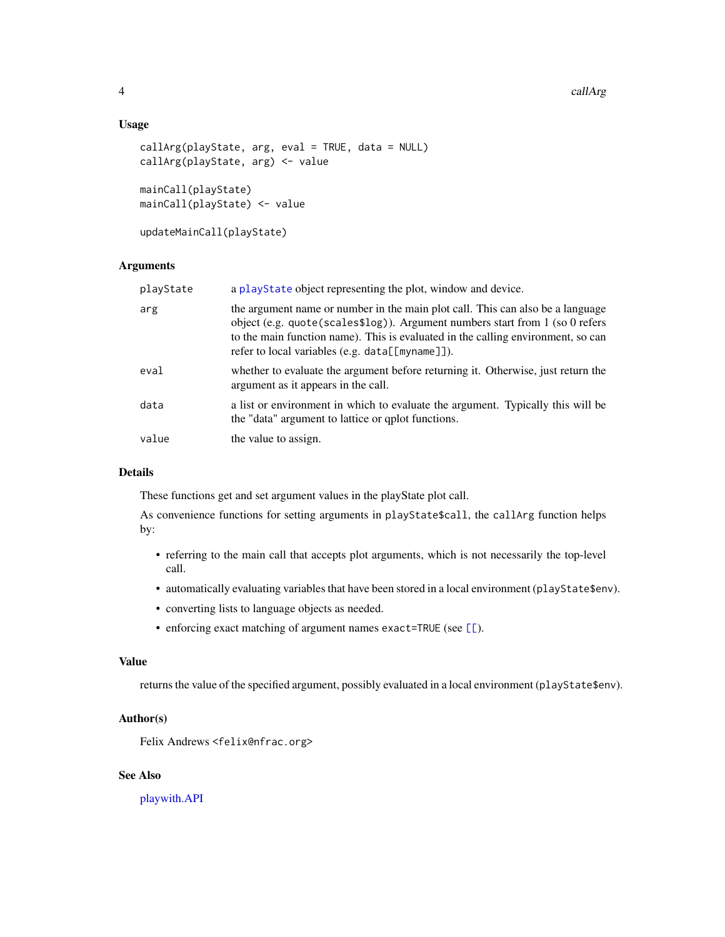#### <span id="page-3-0"></span>Usage

```
callArg(playState, arg, eval = TRUE, data = NULL)
callArg(playState, arg) <- value
mainCall(playState)
```

```
mainCall(playState) <- value
```
updateMainCall(playState)

# Arguments

| playState | a playState object representing the plot, window and device.                                                                                                                                                                                                                                             |
|-----------|----------------------------------------------------------------------------------------------------------------------------------------------------------------------------------------------------------------------------------------------------------------------------------------------------------|
| arg       | the argument name or number in the main plot call. This can also be a language<br>object (e.g. quote (scales\$log)). Argument numbers start from $1$ (so 0 refers<br>to the main function name). This is evaluated in the calling environment, so can<br>refer to local variables (e.g. data[[myname]]). |
| eval      | whether to evaluate the argument before returning it. Otherwise, just return the<br>argument as it appears in the call.                                                                                                                                                                                  |
| data      | a list or environment in which to evaluate the argument. Typically this will be<br>the "data" argument to lattice or qplot functions.                                                                                                                                                                    |
| value     | the value to assign.                                                                                                                                                                                                                                                                                     |

# Details

These functions get and set argument values in the playState plot call.

As convenience functions for setting arguments in playState\$call, the callArg function helps by:

- referring to the main call that accepts plot arguments, which is not necessarily the top-level call.
- automatically evaluating variables that have been stored in a local environment (playState\$env).
- converting lists to language objects as needed.
- enforcing exact matching of argument names exact=TRUE (see  $[\ ]$ ).

#### Value

returns the value of the specified argument, possibly evaluated in a local environment (playState\$env).

#### Author(s)

Felix Andrews <felix@nfrac.org>

# See Also

[playwith.API](#page-25-1)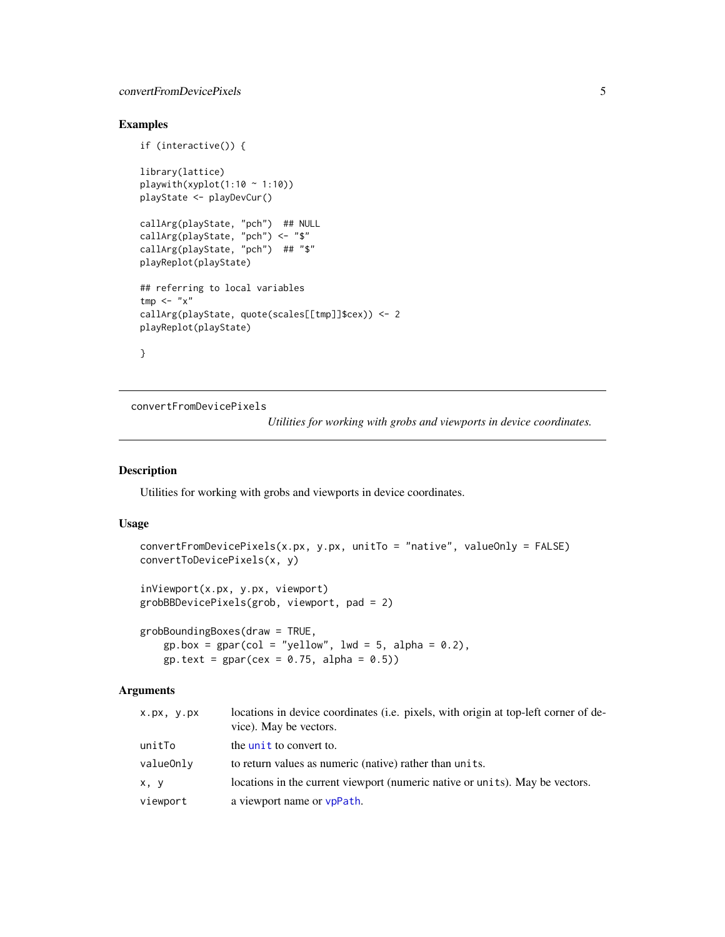# <span id="page-4-0"></span>convertFromDevicePixels 5

# Examples

```
if (interactive()) {
library(lattice)
playwith(xyplot(1:10 \sim 1:10))
playState <- playDevCur()
callArg(playState, "pch") ## NULL
callArg(playState, "pch") <- "$"
callArg(playState, "pch") ## "$"
playReplot(playState)
## referring to local variables
tmp < - "x"
callArg(playState, quote(scales[[tmp]]$cex)) <- 2
playReplot(playState)
}
```
<span id="page-4-2"></span>convertFromDevicePixels

*Utilities for working with grobs and viewports in device coordinates.*

# <span id="page-4-1"></span>Description

Utilities for working with grobs and viewports in device coordinates.

### Usage

```
convertFromDevicePixels(x.px, y.px, unitTo = "native", valueOnly = FALSE)
convertToDevicePixels(x, y)
inViewport(x.px, y.px, viewport)
grobBBDevicePixels(grob, viewport, pad = 2)
grobBoundingBoxes(draw = TRUE,
```
 $gp. box = gpar(col = "yellow", lwd = 5, alpha = 0.2),$  $gp.text = gpar(cex = 0.75, alpha = 0.5)$ 

# Arguments

| X.px, y.px | locations in device coordinates (i.e. pixels, with origin at top-left corner of de-<br>vice). May be vectors. |
|------------|---------------------------------------------------------------------------------------------------------------|
| unitTo     | the unit to convert to.                                                                                       |
| valueOnly  | to return values as numeric (native) rather than units.                                                       |
| x, y       | locations in the current viewport (numeric native or units). May be vectors.                                  |
| viewport   | a viewport name or vpPath.                                                                                    |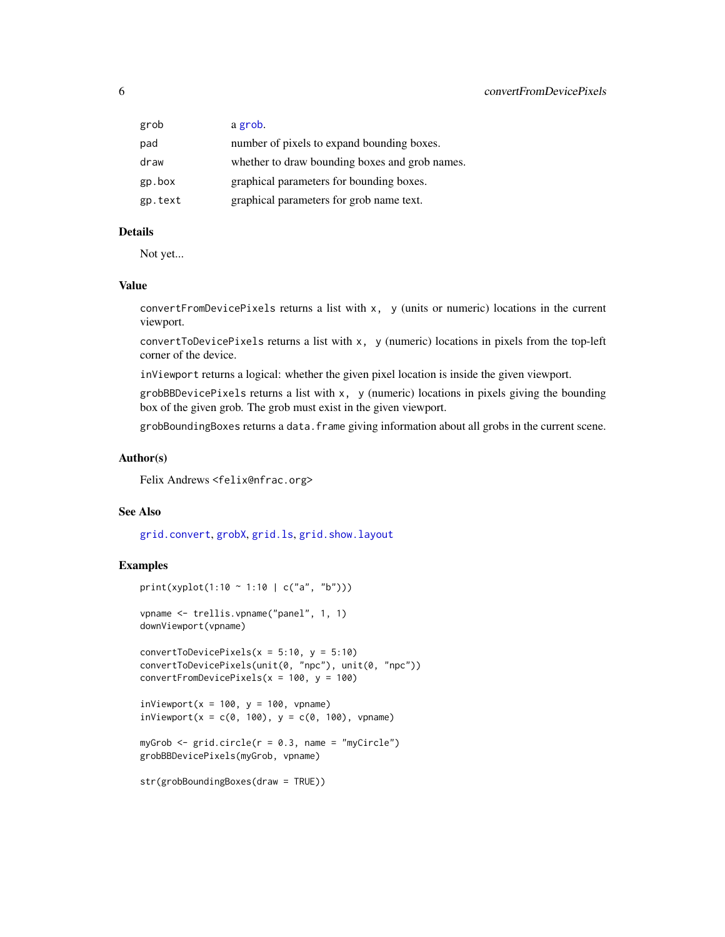<span id="page-5-0"></span>

| grob    | a grob.                                        |
|---------|------------------------------------------------|
| pad     | number of pixels to expand bounding boxes.     |
| draw    | whether to draw bounding boxes and grob names. |
| gp.box  | graphical parameters for bounding boxes.       |
| gp.text | graphical parameters for grob name text.       |

# Details

Not yet...

#### Value

convertFromDevicePixels returns a list with x, y (units or numeric) locations in the current viewport.

convertToDevicePixels returns a list with x, y (numeric) locations in pixels from the top-left corner of the device.

inViewport returns a logical: whether the given pixel location is inside the given viewport.

 $grobBBDevicePixels returns a list with x, y (numeric) locations in pixels giving the bounding$ box of the given grob. The grob must exist in the given viewport.

grobBoundingBoxes returns a data.frame giving information about all grobs in the current scene.

#### Author(s)

Felix Andrews <felix@nfrac.org>

#### See Also

[grid.convert](#page-0-0), [grobX](#page-0-0), [grid.ls](#page-0-0), [grid.show.layout](#page-0-0)

# Examples

```
print(xyplot(1:10 ~ 1:10 | c("a", "b")))
vpname <- trellis.vpname("panel", 1, 1)
downViewport(vpname)
convertToDevicePixels(x = 5:10, y = 5:10)
convertToDevicePixels(unit(0, "npc"), unit(0, "npc"))
convertFromDevicePixels(x = 100, y = 100)
inviewport(x = 100, y = 100, vpanme)inviewport(x = c(0, 100), y = c(0, 100), vpanee)myGrob \leq grid.circle(r = 0.3, name = "myCircle")
grobBBDevicePixels(myGrob, vpname)
str(grobBoundingBoxes(draw = TRUE))
```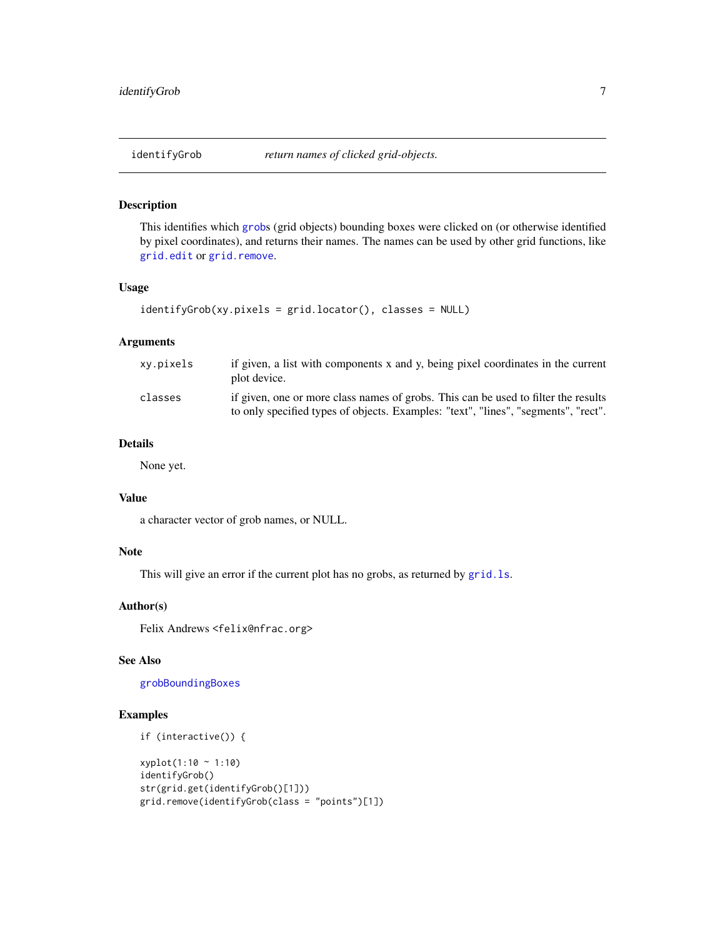<span id="page-6-0"></span>

#### Description

This identifies which [grob](#page-0-0)s (grid objects) bounding boxes were clicked on (or otherwise identified by pixel coordinates), and returns their names. The names can be used by other grid functions, like [grid.edit](#page-0-0) or [grid.remove](#page-0-0).

# Usage

```
identifyGrob(xy.pixels = grid.locator(), classes = NULL)
```
#### Arguments

| xv.pixels | if given, a list with components x and y, being pixel coordinates in the current<br>plot device.                                                                         |
|-----------|--------------------------------------------------------------------------------------------------------------------------------------------------------------------------|
| classes   | if given, one or more class names of grobs. This can be used to filter the results<br>to only specified types of objects. Examples: "text", "lines", "segments", "rect". |

# Details

None yet.

# Value

a character vector of grob names, or NULL.

### Note

This will give an error if the current plot has no grobs, as returned by [grid.ls](#page-0-0).

# Author(s)

Felix Andrews <felix@nfrac.org>

# See Also

[grobBoundingBoxes](#page-4-1)

# Examples

```
if (interactive()) {
```

```
xyplot(1:10 ~ 1:10)
identifyGrob()
str(grid.get(identifyGrob()[1]))
grid.remove(identifyGrob(class = "points")[1])
```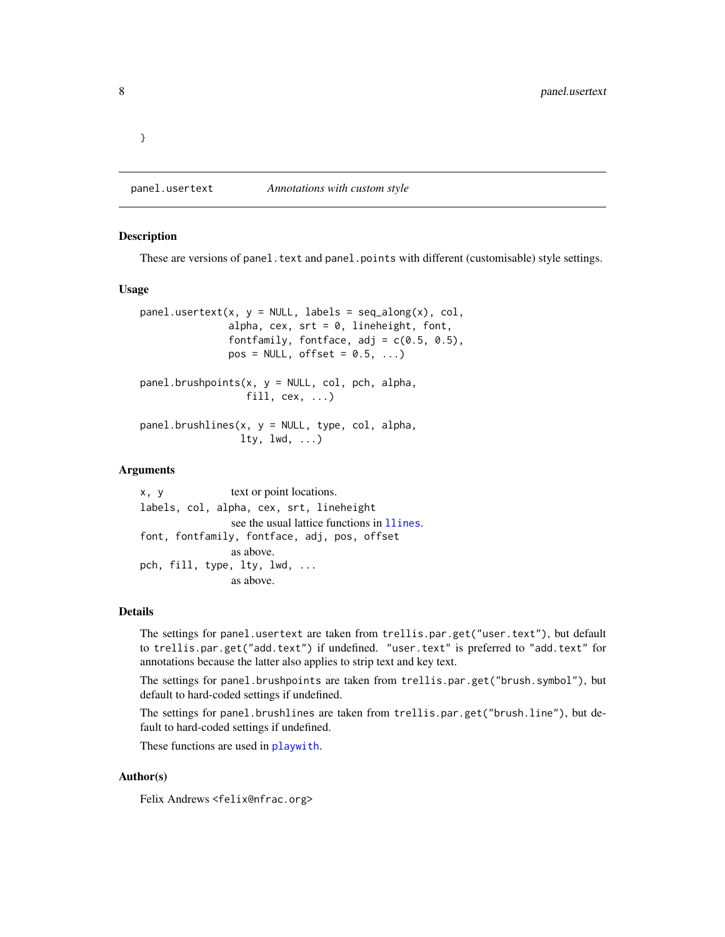<span id="page-7-0"></span>}

panel.usertext *Annotations with custom style*

#### Description

These are versions of panel.text and panel.points with different (customisable) style settings.

#### Usage

```
panel.userext(x, y = NULL, labels = seq_along(x), col,alpha, cex, srt = 0, lineheight, font,
               fontfamily, fontface, adj = c(0.5, 0.5),
              pos = NULL, offset = 0.5, ...)panel.brushpoints(x, y = NULL, col, pch, alpha,fill, cex, \ldots)
panel.brushlines(x, y = NULL, type, col, alpha,lty, lwd, ...
```
# Arguments

x, y text or point locations. labels, col, alpha, cex, srt, lineheight see the usual lattice functions in [llines](#page-0-0). font, fontfamily, fontface, adj, pos, offset as above. pch, fill, type, lty, lwd, ... as above.

# Details

The settings for panel.usertext are taken from trellis.par.get("user.text"), but default to trellis.par.get("add.text") if undefined. "user.text" is preferred to "add.text" for annotations because the latter also applies to strip text and key text.

The settings for panel.brushpoints are taken from trellis.par.get("brush.symbol"), but default to hard-coded settings if undefined.

The settings for panel.brushlines are taken from trellis.par.get("brush.line"), but default to hard-coded settings if undefined.

These functions are used in [playwith](#page-16-1).

#### Author(s)

Felix Andrews <felix@nfrac.org>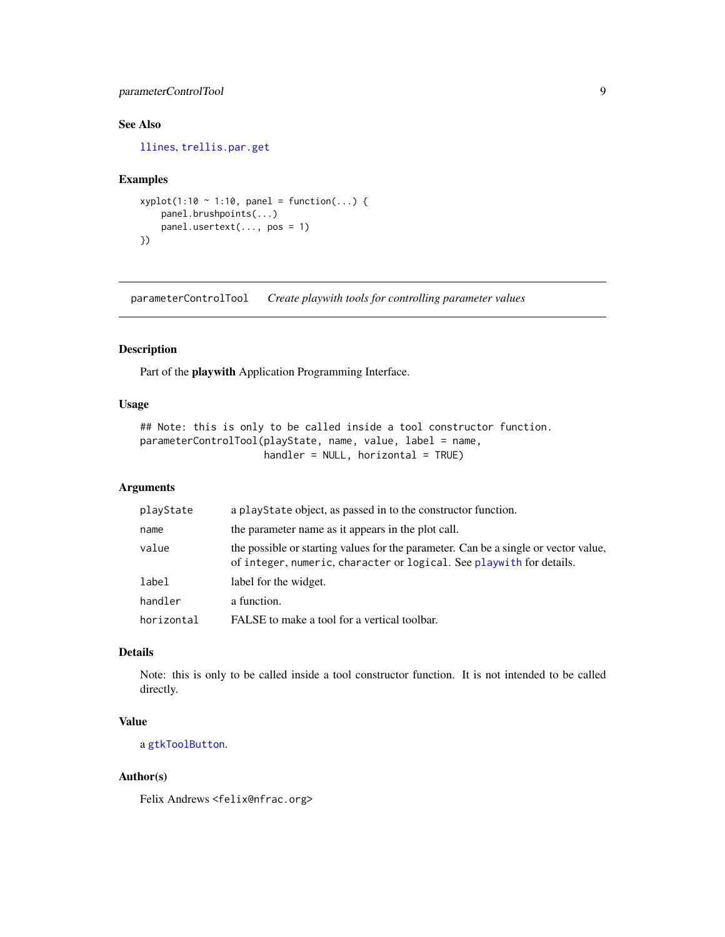# <span id="page-8-0"></span>parameterControlTool 9

# See Also

[llines](#page-0-0), [trellis.par.get](#page-0-0)

# Examples

```
xyplot(1:10 ~ 1:10, panel = function(...)panel.brushpoints(...)
   panel.usertext(..., pos = 1)
})
```
parameterControlTool *Create playwith tools for controlling parameter values*

#### Description

Part of the playwith Application Programming Interface.

# Usage

```
## Note: this is only to be called inside a tool constructor function.
parameterControlTool(playState, name, value, label = name,
                     handler = NULL, horizontal = TRUE)
```
# Arguments

| playState  | a playState object, as passed in to the constructor function.                                                                                               |
|------------|-------------------------------------------------------------------------------------------------------------------------------------------------------------|
| name       | the parameter name as it appears in the plot call.                                                                                                          |
| value      | the possible or starting values for the parameter. Can be a single or vector value,<br>of integer, numeric, character or logical. See playwith for details. |
| label      | label for the widget.                                                                                                                                       |
| handler    | a function.                                                                                                                                                 |
| horizontal | FALSE to make a tool for a vertical toolbar.                                                                                                                |

# Details

Note: this is only to be called inside a tool constructor function. It is not intended to be called directly.

# Value

a [gtkToolButton](#page-0-0).

# Author(s)

Felix Andrews <felix@nfrac.org>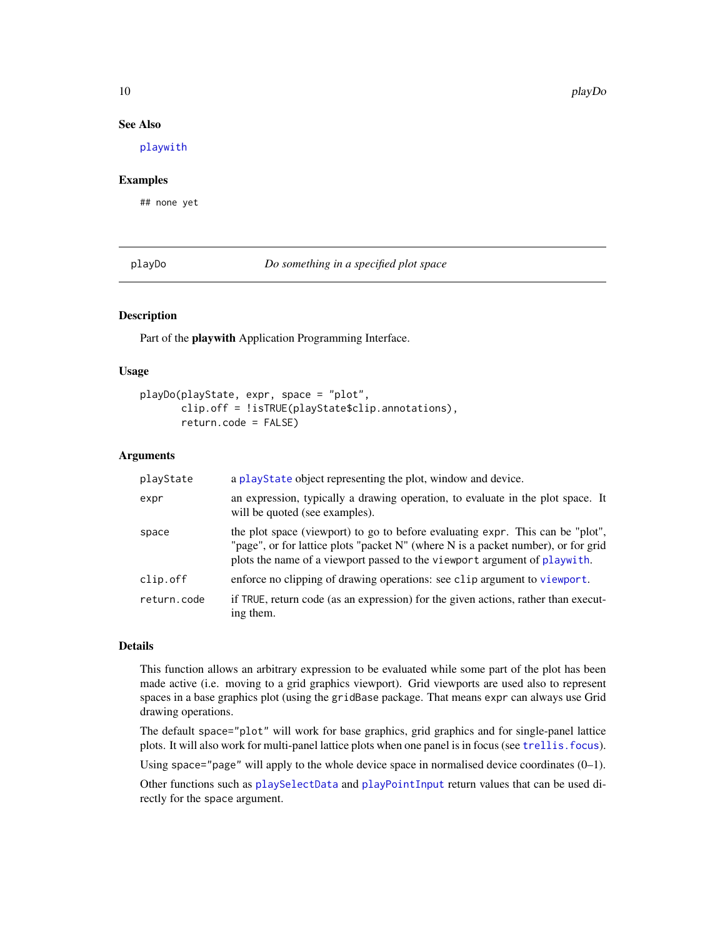# See Also

[playwith](#page-16-1)

# Examples

## none yet

<span id="page-9-1"></span>playDo *Do something in a specified plot space*

#### Description

Part of the playwith Application Programming Interface.

#### Usage

```
playDo(playState, expr, space = "plot",
       clip.off = !isTRUE(playState$clip.annotations),
       return.code = FALSE)
```
#### Arguments

| playState   | a playState object representing the plot, window and device.                                                                                                                                                                                     |
|-------------|--------------------------------------------------------------------------------------------------------------------------------------------------------------------------------------------------------------------------------------------------|
| expr        | an expression, typically a drawing operation, to evaluate in the plot space. It<br>will be quoted (see examples).                                                                                                                                |
| space       | the plot space (viewport) to go to before evaluating expr. This can be "plot",<br>"page", or for lattice plots "packet N" (where N is a packet number), or for grid<br>plots the name of a viewport passed to the viewport argument of playwith. |
| clip.off    | enforce no clipping of drawing operations: see clip argument to viewport.                                                                                                                                                                        |
| return.code | if TRUE, return code (as an expression) for the given actions, rather than execut-<br>ing them.                                                                                                                                                  |

# Details

This function allows an arbitrary expression to be evaluated while some part of the plot has been made active (i.e. moving to a grid graphics viewport). Grid viewports are used also to represent spaces in a base graphics plot (using the gridBase package. That means expr can always use Grid drawing operations.

The default space="plot" will work for base graphics, grid graphics and for single-panel lattice plots. It will also work for multi-panel lattice plots when one panel is in focus (see [trellis.focus](#page-0-0)).

Using space="page" will apply to the whole device space in normalised device coordinates  $(0-1)$ .

Other functions such as [playSelectData](#page-13-1) and [playPointInput](#page-12-1) return values that can be used directly for the space argument.

<span id="page-9-0"></span>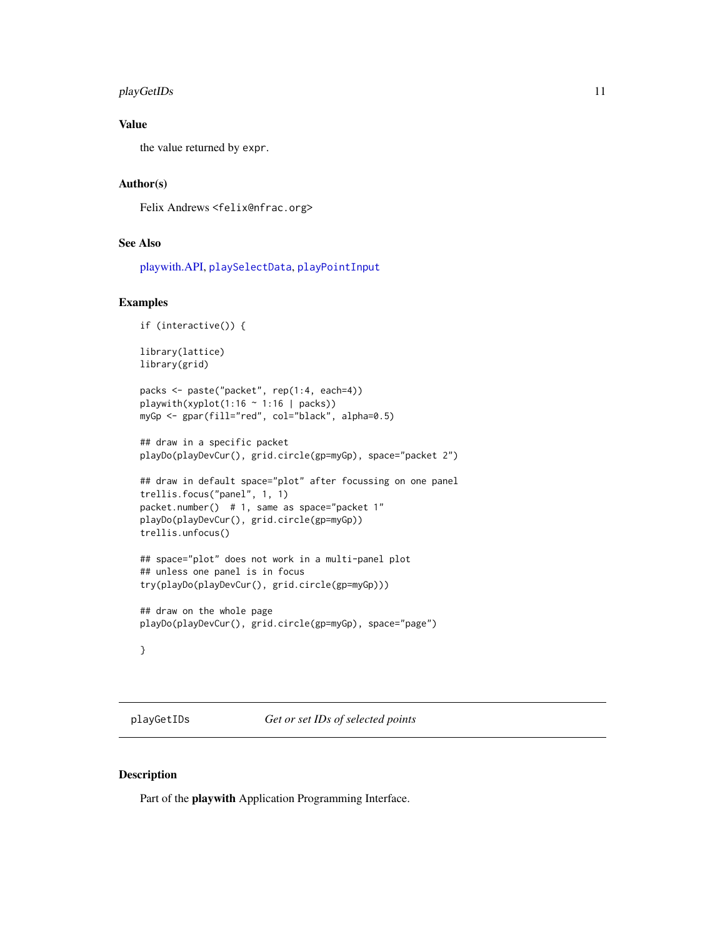# <span id="page-10-0"></span>playGetIDs 11

# Value

the value returned by expr.

#### Author(s)

Felix Andrews <felix@nfrac.org>

# See Also

[playwith.API,](#page-25-1) [playSelectData](#page-13-1), [playPointInput](#page-12-1)

#### Examples

```
if (interactive()) {
```

```
library(lattice)
library(grid)
```

```
packs <- paste("packet", rep(1:4, each=4))
playwith(xyplot(1:16 \sim 1:16 | packs))
myGp <- gpar(fill="red", col="black", alpha=0.5)
```

```
## draw in a specific packet
playDo(playDevCur(), grid.circle(gp=myGp), space="packet 2")
```

```
## draw in default space="plot" after focussing on one panel
trellis.focus("panel", 1, 1)
packet.number() # 1, same as space="packet 1"
playDo(playDevCur(), grid.circle(gp=myGp))
trellis.unfocus()
```

```
## space="plot" does not work in a multi-panel plot
## unless one panel is in focus
try(playDo(playDevCur(), grid.circle(gp=myGp)))
```

```
## draw on the whole page
playDo(playDevCur(), grid.circle(gp=myGp), space="page")
```
# }

<span id="page-10-1"></span>playGetIDs *Get or set IDs of selected points*

# <span id="page-10-2"></span>Description

Part of the playwith Application Programming Interface.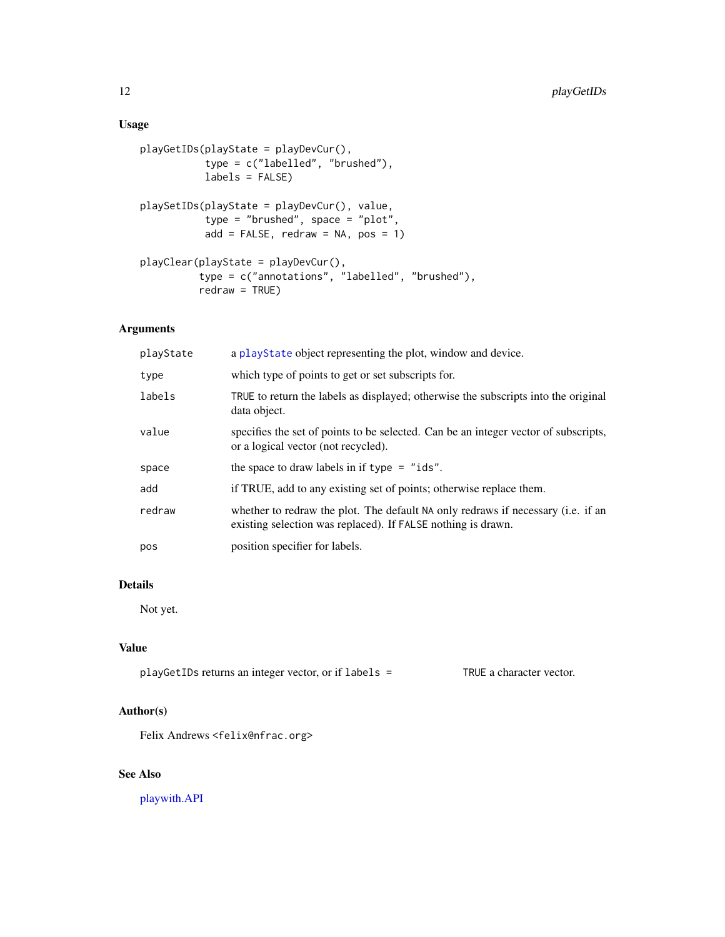# <span id="page-11-0"></span>Usage

```
playGetIDs(playState = playDevCur(),
           type = c("labelled", "brushed"),
          labels = FALSE)
playSetIDs(playState = playDevCur(), value,
           type = "brushed", space = "plot",
          add = FALSE, redraw = NA, pos = 1)playClear(playState = playDevCur(),
          type = c("annotations", "labelled", "brushed"),
          redraw = TRUE)
```
# Arguments

| playState | a playState object representing the plot, window and device.                                                                                     |
|-----------|--------------------------------------------------------------------------------------------------------------------------------------------------|
| type      | which type of points to get or set subscripts for.                                                                                               |
| labels    | TRUE to return the labels as displayed; otherwise the subscripts into the original<br>data object.                                               |
| value     | specifies the set of points to be selected. Can be an integer vector of subscripts,<br>or a logical vector (not recycled).                       |
| space     | the space to draw labels in if $type = "ids".$                                                                                                   |
| add       | if TRUE, add to any existing set of points; otherwise replace them.                                                                              |
| redraw    | whether to redraw the plot. The default NA only redraws if necessary (i.e. if an<br>existing selection was replaced). If FALSE nothing is drawn. |
| pos       | position specifier for labels.                                                                                                                   |

# Details

Not yet.

# Value

playGetIDs returns an integer vector, or if labels = TRUE a character vector.

# Author(s)

Felix Andrews <felix@nfrac.org>

# See Also

[playwith.API](#page-25-1)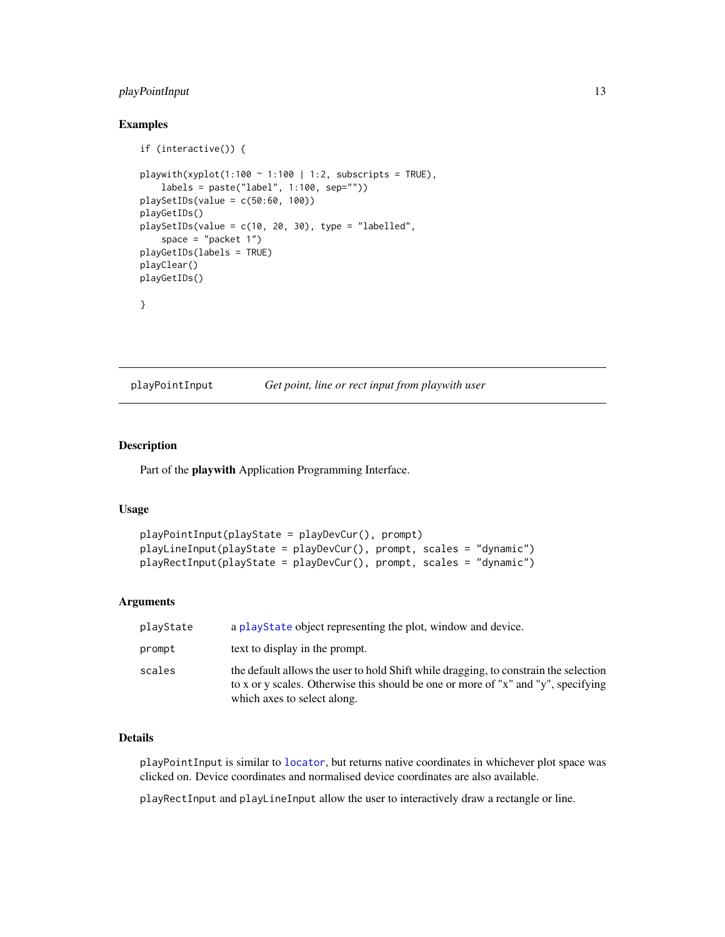# <span id="page-12-0"></span>playPointInput 13

# Examples

```
if (interactive()) {
playwith(xyplot(1:100 \sim 1:100 | 1:2, subscripts = TRUE),
    labels = paste("label", 1:100, sep=""))
playSetIDs(value = c(50:60, 100))
playGetIDs()
playSetIDs(value = c(10, 20, 30), type = "labelled",
    space = "packet 1")
playGetIDs(labels = TRUE)
playClear()
playGetIDs()
}
```
<span id="page-12-1"></span>playPointInput *Get point, line or rect input from playwith user*

# <span id="page-12-2"></span>Description

Part of the playwith Application Programming Interface.

# Usage

```
playPointInput(playState = playDevCur(), prompt)
playLineInput(playState = playDevCur(), prompt, scales = "dynamic")
playRectInput(playState = playDevCur(), prompt, scales = "dynamic")
```
#### Arguments

| playState | a playState object representing the plot, window and device.                                                                                                                                             |
|-----------|----------------------------------------------------------------------------------------------------------------------------------------------------------------------------------------------------------|
| prompt    | text to display in the prompt.                                                                                                                                                                           |
| scales    | the default allows the user to hold Shift while dragging, to constrain the selection<br>to x or y scales. Otherwise this should be one or more of "x" and "y", specifying<br>which axes to select along. |

# Details

playPointInput is similar to [locator](#page-0-0), but returns native coordinates in whichever plot space was clicked on. Device coordinates and normalised device coordinates are also available.

playRectInput and playLineInput allow the user to interactively draw a rectangle or line.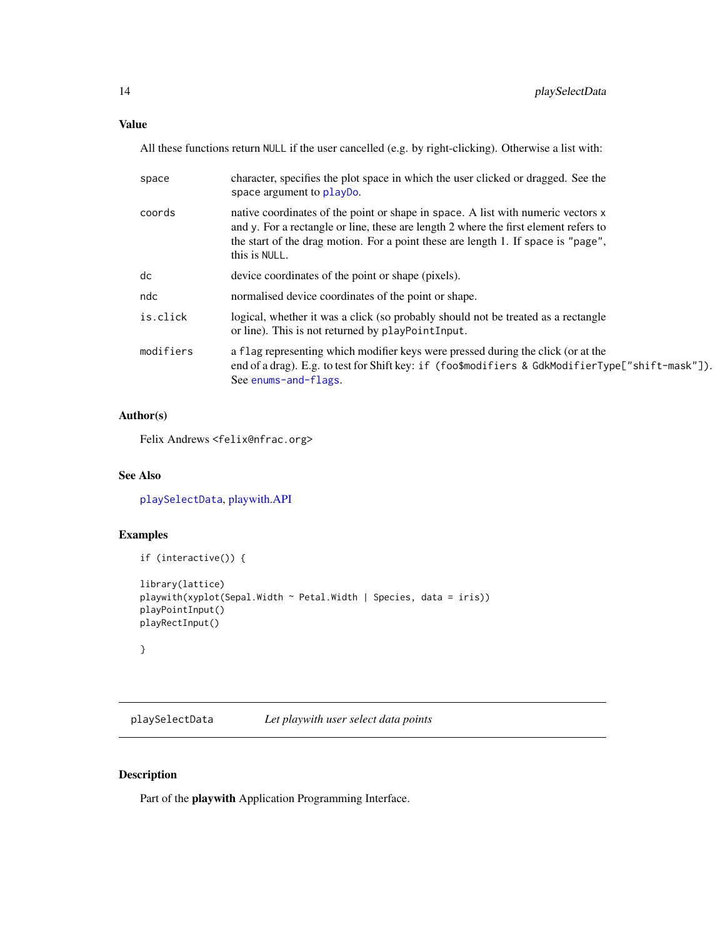# <span id="page-13-0"></span>Value

All these functions return NULL if the user cancelled (e.g. by right-clicking). Otherwise a list with:

| space     | character, specifies the plot space in which the user clicked or dragged. See the<br>space argument to playbo.                                                                                                                                                                 |
|-----------|--------------------------------------------------------------------------------------------------------------------------------------------------------------------------------------------------------------------------------------------------------------------------------|
| coords    | native coordinates of the point or shape in space. A list with numeric vectors x<br>and y. For a rectangle or line, these are length 2 where the first element refers to<br>the start of the drag motion. For a point these are length 1. If space is "page",<br>this is NULL. |
| dc        | device coordinates of the point or shape (pixels).                                                                                                                                                                                                                             |
| ndc       | normalised device coordinates of the point or shape.                                                                                                                                                                                                                           |
| is.click  | logical, whether it was a click (so probably should not be treated as a rectangle<br>or line). This is not returned by playPointInput.                                                                                                                                         |
| modifiers | a flag representing which modifier keys were pressed during the click (or at the<br>end of a drag). E.g. to test for Shift key: if (foo\$modifiers & GdkModifierType["shift-mask"]).<br>See enums-and-flags.                                                                   |

# Author(s)

Felix Andrews <felix@nfrac.org>

# See Also

[playSelectData](#page-13-1), [playwith.API](#page-25-1)

# Examples

```
if (interactive()) {
library(lattice)
playwith(xyplot(Sepal.Width ~ Petal.Width | Species, data = iris))
playPointInput()
playRectInput()
}
```
<span id="page-13-1"></span>playSelectData *Let playwith user select data points*

# Description

Part of the playwith Application Programming Interface.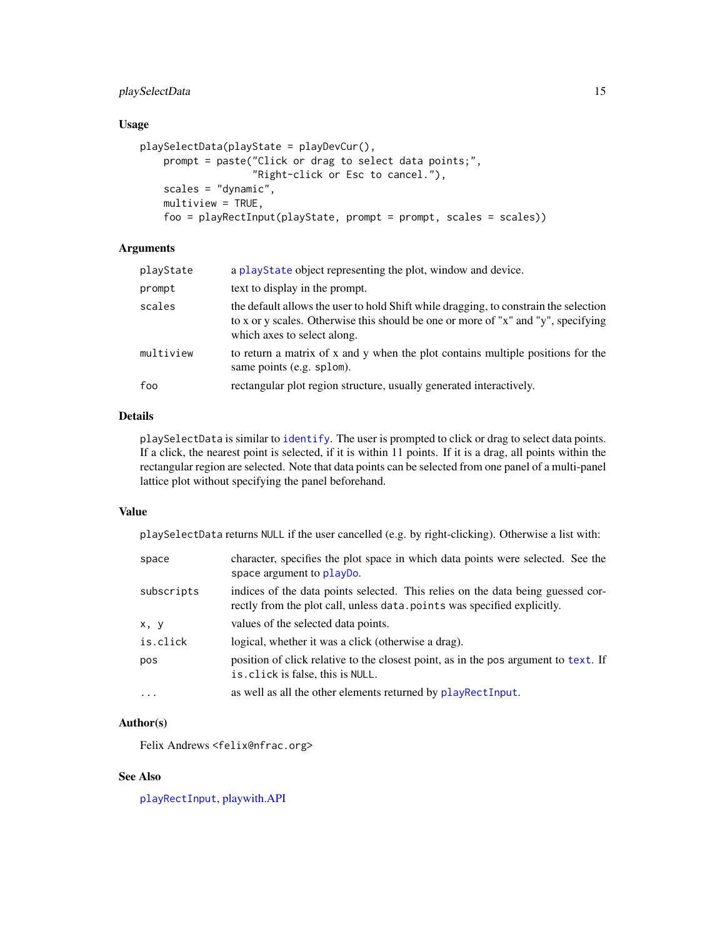# <span id="page-14-0"></span>playSelectData 15

# Usage

```
playSelectData(playState = playDevCur(),
    prompt = paste("Click or drag to select data points;",
                   "Right-click or Esc to cancel."),
    scales = "dynamic",
    multipview = TRUE,foo = playRectInput(playState, prompt = prompt, scales = scales))
```
# Arguments

| playState | a playState object representing the plot, window and device.                                                                                                                                             |
|-----------|----------------------------------------------------------------------------------------------------------------------------------------------------------------------------------------------------------|
| prompt    | text to display in the prompt.                                                                                                                                                                           |
| scales    | the default allows the user to hold Shift while dragging, to constrain the selection<br>to x or y scales. Otherwise this should be one or more of "x" and "y", specifying<br>which axes to select along. |
| multiview | to return a matrix of x and y when the plot contains multiple positions for the<br>same points (e.g. splom).                                                                                             |
| foo       | rectangular plot region structure, usually generated interactively.                                                                                                                                      |
|           |                                                                                                                                                                                                          |

# Details

playSelectData is similar to [identify](#page-0-0). The user is prompted to click or drag to select data points. If a click, the nearest point is selected, if it is within 11 points. If it is a drag, all points within the rectangular region are selected. Note that data points can be selected from one panel of a multi-panel lattice plot without specifying the panel beforehand.

#### Value

playSelectData returns NULL if the user cancelled (e.g. by right-clicking). Otherwise a list with:

| space      | character, specifies the plot space in which data points were selected. See the<br>space argument to playbo.                                                |
|------------|-------------------------------------------------------------------------------------------------------------------------------------------------------------|
| subscripts | indices of the data points selected. This relies on the data being guessed cor-<br>rectly from the plot call, unless data. points was specified explicitly. |
| x, y       | values of the selected data points.                                                                                                                         |
| is.click   | logical, whether it was a click (otherwise a drag).                                                                                                         |
| pos        | position of click relative to the closest point, as in the pos argument to text. If<br>is. click is false, this is NULL.                                    |
| $\cdots$   | as well as all the other elements returned by playRectInput.                                                                                                |

# Author(s)

Felix Andrews <felix@nfrac.org>

# See Also

[playRectInput](#page-12-2), [playwith.API](#page-25-1)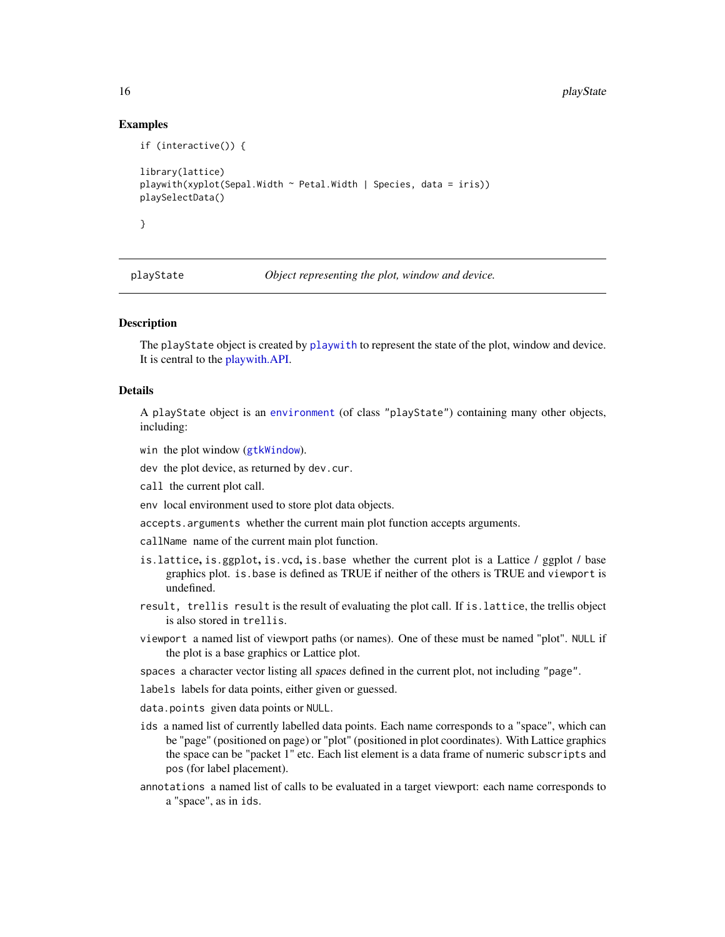# Examples

```
if (interactive()) {
library(lattice)
playwith(xyplot(Sepal.Width ~ Petal.Width ~ Species, data = iris))playSelectData()
}
```
<span id="page-15-1"></span>

playState *Object representing the plot, window and device.*

# Description

The playState object is created by [playwith](#page-16-1) to represent the state of the plot, window and device. It is central to the [playwith.API.](#page-25-1)

#### Details

A playState object is an [environment](#page-0-0) (of class "playState") containing many other objects, including:

- win the plot window ([gtkWindow](#page-0-0)).
- dev the plot device, as returned by dev.cur.
- call the current plot call.
- env local environment used to store plot data objects.
- accepts.arguments whether the current main plot function accepts arguments.

callName name of the current main plot function.

- is.lattice, is.ggplot, is.vcd, is.base whether the current plot is a Lattice / ggplot / base graphics plot. is.base is defined as TRUE if neither of the others is TRUE and viewport is undefined.
- result, trellis result is the result of evaluating the plot call. If is.lattice, the trellis object is also stored in trellis.
- viewport a named list of viewport paths (or names). One of these must be named "plot". NULL if the plot is a base graphics or Lattice plot.

spaces a character vector listing all spaces defined in the current plot, not including "page".

- labels labels for data points, either given or guessed.
- data.points given data points or NULL.
- ids a named list of currently labelled data points. Each name corresponds to a "space", which can be "page" (positioned on page) or "plot" (positioned in plot coordinates). With Lattice graphics the space can be "packet 1" etc. Each list element is a data frame of numeric subscripts and pos (for label placement).
- annotations a named list of calls to be evaluated in a target viewport: each name corresponds to a "space", as in ids.

<span id="page-15-0"></span>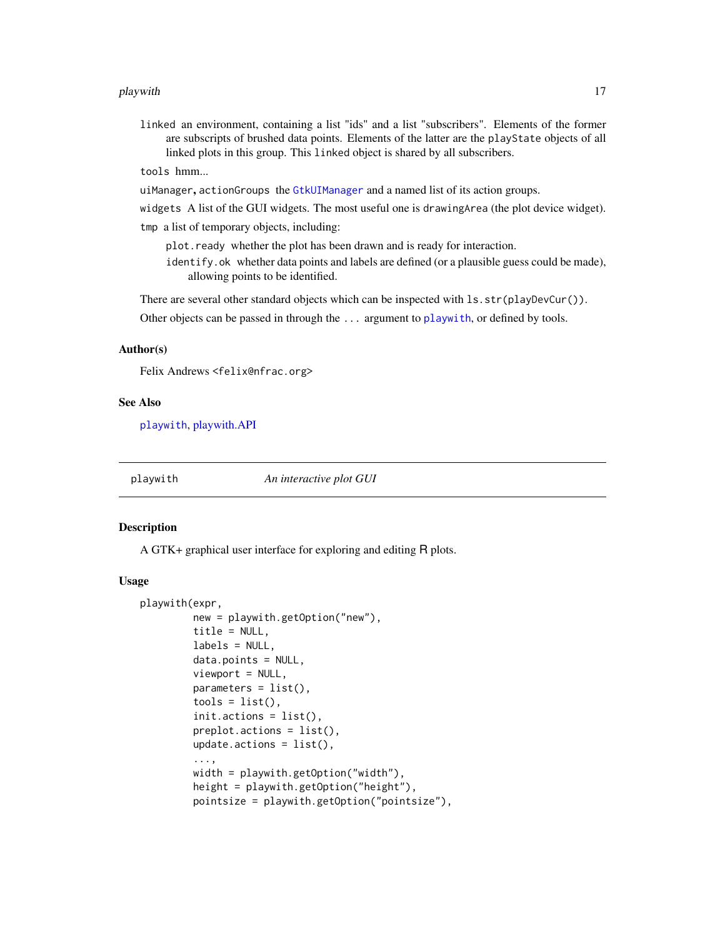#### <span id="page-16-0"></span>playwith the contract of the contract of the contract of the contract of the contract of the contract of the contract of the contract of the contract of the contract of the contract of the contract of the contract of the c

linked an environment, containing a list "ids" and a list "subscribers". Elements of the former are subscripts of brushed data points. Elements of the latter are the playState objects of all linked plots in this group. This linked object is shared by all subscribers.

tools hmm...

uiManager, actionGroups the [GtkUIManager](#page-0-0) and a named list of its action groups.

widgets A list of the GUI widgets. The most useful one is drawingArea (the plot device widget).

tmp a list of temporary objects, including:

plot.ready whether the plot has been drawn and is ready for interaction.

identify.ok whether data points and labels are defined (or a plausible guess could be made), allowing points to be identified.

There are several other standard objects which can be inspected with  $lsstr(playDevCur())$ .

Other objects can be passed in through the ... argument to [playwith](#page-16-1), or defined by tools.

# Author(s)

Felix Andrews <felix@nfrac.org>

#### See Also

[playwith](#page-16-1), [playwith.API](#page-25-1)

<span id="page-16-1"></span>playwith *An interactive plot GUI*

#### Description

A GTK+ graphical user interface for exploring and editing R plots.

#### Usage

```
playwith(expr,
         new = playwith.getOption("new"),
         title = NULL,
         labels = NULL,
         data.points = NULL,
         viewport = NULL,parameters = list(),
         tools = list(),
         init.actions = list(),
         preplot.actions = list(),
         update.actions = list(),...,
         width = playwith.getOption("width"),
         height = playwith.getOption("height"),
         pointsize = playwith.getOption("pointsize"),
```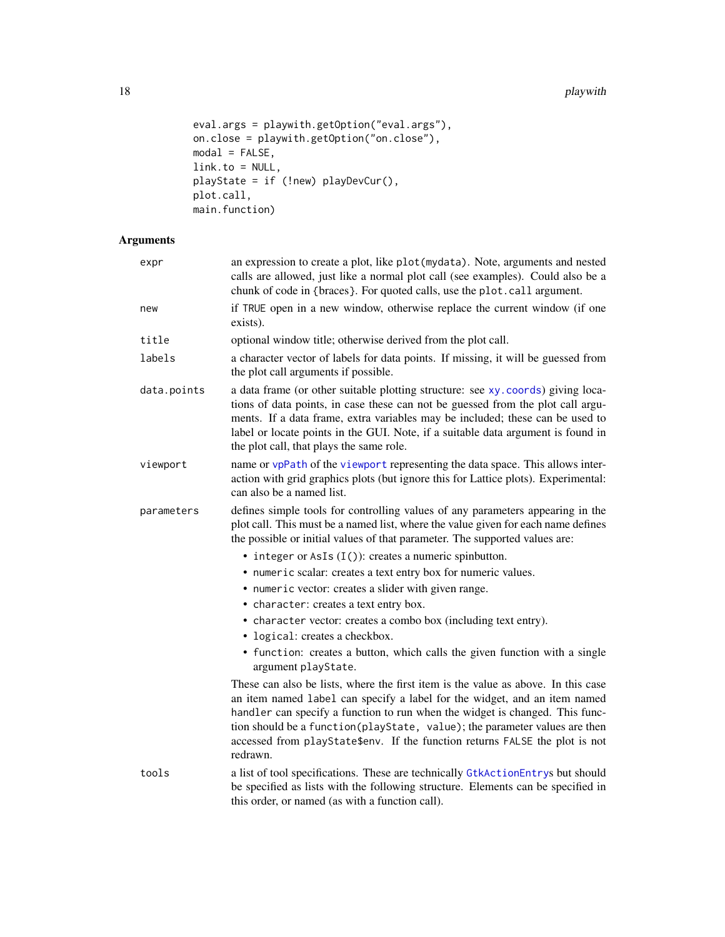```
eval.args = playwith.getOption("eval.args"),
on.close = playwith.getOption("on.close"),
modal = FALSE,link.to = NULL,
playState = if (!new) playDevCur(),
plot.call,
main.function)
```
# Arguments

| expr        | an expression to create a plot, like plot (mydata). Note, arguments and nested<br>calls are allowed, just like a normal plot call (see examples). Could also be a<br>chunk of code in {braces}. For quoted calls, use the plot.call argument.                                                                                                                                                                           |
|-------------|-------------------------------------------------------------------------------------------------------------------------------------------------------------------------------------------------------------------------------------------------------------------------------------------------------------------------------------------------------------------------------------------------------------------------|
| new         | if TRUE open in a new window, otherwise replace the current window (if one<br>exists).                                                                                                                                                                                                                                                                                                                                  |
| title       | optional window title; otherwise derived from the plot call.                                                                                                                                                                                                                                                                                                                                                            |
| labels      | a character vector of labels for data points. If missing, it will be guessed from<br>the plot call arguments if possible.                                                                                                                                                                                                                                                                                               |
| data.points | a data frame (or other suitable plotting structure: see xy. coords) giving loca-<br>tions of data points, in case these can not be guessed from the plot call argu-<br>ments. If a data frame, extra variables may be included; these can be used to<br>label or locate points in the GUI. Note, if a suitable data argument is found in<br>the plot call, that plays the same role.                                    |
| viewport    | name or vpPath of the viewport representing the data space. This allows inter-<br>action with grid graphics plots (but ignore this for Lattice plots). Experimental:<br>can also be a named list.                                                                                                                                                                                                                       |
| parameters  | defines simple tools for controlling values of any parameters appearing in the<br>plot call. This must be a named list, where the value given for each name defines<br>the possible or initial values of that parameter. The supported values are:                                                                                                                                                                      |
|             | $\bullet$ integer or AsIs $(I())$ : creates a numeric spinbutton.                                                                                                                                                                                                                                                                                                                                                       |
|             | • numeric scalar: creates a text entry box for numeric values.                                                                                                                                                                                                                                                                                                                                                          |
|             | • numeric vector: creates a slider with given range.                                                                                                                                                                                                                                                                                                                                                                    |
|             | • character: creates a text entry box.                                                                                                                                                                                                                                                                                                                                                                                  |
|             | • character vector: creates a combo box (including text entry).                                                                                                                                                                                                                                                                                                                                                         |
|             | • logical: creates a checkbox.                                                                                                                                                                                                                                                                                                                                                                                          |
|             | • function: creates a button, which calls the given function with a single<br>argument playState.                                                                                                                                                                                                                                                                                                                       |
|             | These can also be lists, where the first item is the value as above. In this case<br>an item named label can specify a label for the widget, and an item named<br>handler can specify a function to run when the widget is changed. This func-<br>tion should be a function(playState, value); the parameter values are then<br>accessed from playState\$env. If the function returns FALSE the plot is not<br>redrawn. |
| tools       | a list of tool specifications. These are technically GtkActionEntrys but should<br>be specified as lists with the following structure. Elements can be specified in<br>this order, or named (as with a function call).                                                                                                                                                                                                  |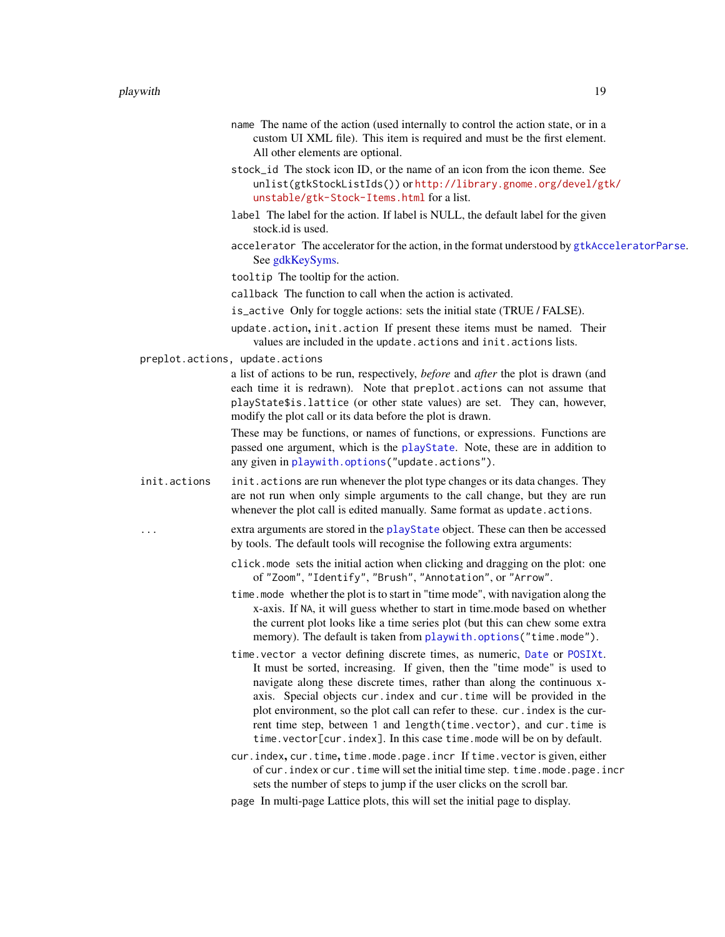- <span id="page-18-0"></span>name The name of the action (used internally to control the action state, or in a custom UI XML file). This item is required and must be the first element. All other elements are optional.
- stock\_id The stock icon ID, or the name of an icon from the icon theme. See unlist(gtkStockListIds()) or [http://library.gnome.org/devel/gt](http://library.gnome.org/devel/gtk/unstable/gtk-Stock-Items.html)k/ [unstable/gtk-Stock-Items.html](http://library.gnome.org/devel/gtk/unstable/gtk-Stock-Items.html) for a list.
- label The label for the action. If label is NULL, the default label for the given stock.id is used.
- accelerator The accelerator for the action, in the format understood by [gtkAcceleratorParse](#page-0-0). See [gdkKeySyms.](#page-0-0)
- tooltip The tooltip for the action.
- callback The function to call when the action is activated.
- is\_active Only for toggle actions: sets the initial state (TRUE / FALSE).
- update.action, init.action If present these items must be named. Their values are included in the update.actions and init.actions lists.
- preplot.actions, update.actions

a list of actions to be run, respectively, *before* and *after* the plot is drawn (and each time it is redrawn). Note that preplot.actions can not assume that playState\$is.lattice (or other state values) are set. They can, however, modify the plot call or its data before the plot is drawn.

These may be functions, or names of functions, or expressions. Functions are passed one argument, which is the [playState](#page-15-1). Note, these are in addition to any given in [playwith.options\(](#page-28-1)"update.actions").

- init.actions init.actions are run whenever the plot type changes or its data changes. They are not run when only simple arguments to the call change, but they are run whenever the plot call is edited manually. Same format as update.actions.
	- extra arguments are stored in the [playState](#page-15-1) object. These can then be accessed by tools. The default tools will recognise the following extra arguments:
		- click.mode sets the initial action when clicking and dragging on the plot: one of "Zoom", "Identify", "Brush", "Annotation", or "Arrow".
		- time.mode whether the plot is to start in "time mode", with navigation along the x-axis. If NA, it will guess whether to start in time.mode based on whether the current plot looks like a time series plot (but this can chew some extra memory). The default is taken from [playwith.options\(](#page-28-1)"time.mode").
		- time.vector a vector defining discrete times, as numeric, [Date](#page-0-0) or [POSIXt](#page-0-0). It must be sorted, increasing. If given, then the "time mode" is used to navigate along these discrete times, rather than along the continuous xaxis. Special objects cur.index and cur.time will be provided in the plot environment, so the plot call can refer to these. cur.index is the current time step, between 1 and length(time.vector), and cur.time is time.vector[cur.index]. In this case time.mode will be on by default.
		- cur.index, cur.time, time.mode.page.incr If time.vector is given, either of cur.index or cur.time will set the initial time step. time.mode.page.incr sets the number of steps to jump if the user clicks on the scroll bar.
		- page In multi-page Lattice plots, this will set the initial page to display.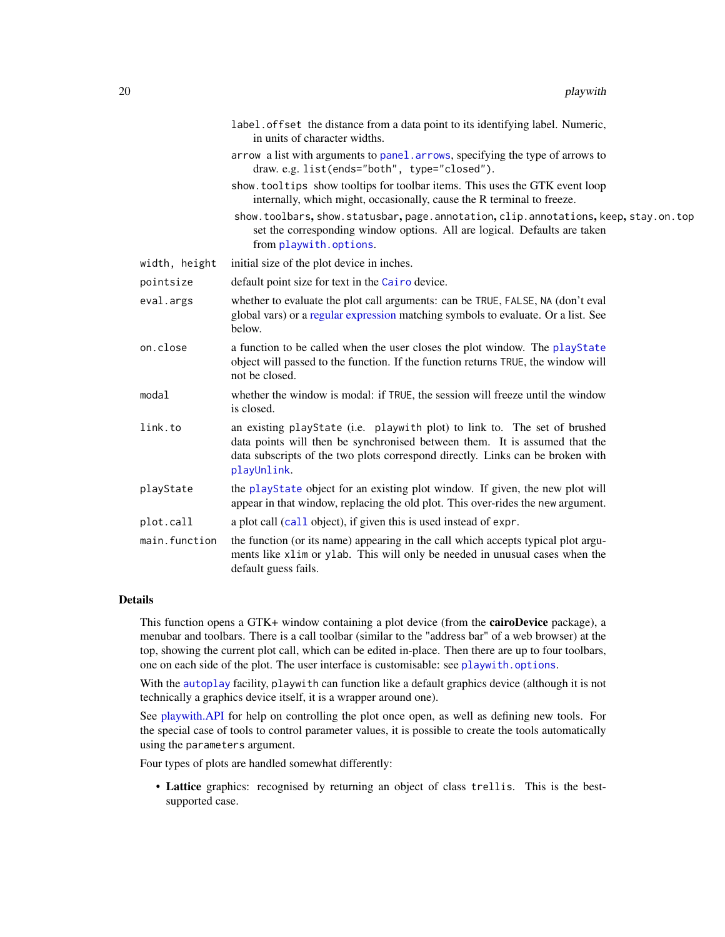<span id="page-19-0"></span>

|               | label. offset the distance from a data point to its identifying label. Numeric,<br>in units of character widths.                                                                                                                                         |
|---------------|----------------------------------------------------------------------------------------------------------------------------------------------------------------------------------------------------------------------------------------------------------|
|               | arrow a list with arguments to panel. arrows, specifying the type of arrows to<br>draw.e.g. list(ends="both", type="closed").                                                                                                                            |
|               | show. tooltips show tooltips for toolbar items. This uses the GTK event loop<br>internally, which might, occasionally, cause the R terminal to freeze.                                                                                                   |
|               | show.toolbars, show.statusbar, page.annotation, clip.annotations, keep, stay.on.top<br>set the corresponding window options. All are logical. Defaults are taken<br>from playwith.options.                                                               |
| width, height | initial size of the plot device in inches.                                                                                                                                                                                                               |
| pointsize     | default point size for text in the Cairo device.                                                                                                                                                                                                         |
| eval.args     | whether to evaluate the plot call arguments: can be TRUE, FALSE, NA (don't eval<br>global vars) or a regular expression matching symbols to evaluate. Or a list. See<br>below.                                                                           |
| on.close      | a function to be called when the user closes the plot window. The playState<br>object will passed to the function. If the function returns TRUE, the window will<br>not be closed.                                                                       |
| modal         | whether the window is modal: if TRUE, the session will freeze until the window<br>is closed.                                                                                                                                                             |
| link.to       | an existing playState (i.e. playwith plot) to link to. The set of brushed<br>data points will then be synchronised between them. It is assumed that the<br>data subscripts of the two plots correspond directly. Links can be broken with<br>playUnlink. |
| playState     | the playState object for an existing plot window. If given, the new plot will<br>appear in that window, replacing the old plot. This over-rides the new argument.                                                                                        |
| plot.call     | a plot call (call object), if given this is used instead of expr.                                                                                                                                                                                        |
| main.function | the function (or its name) appearing in the call which accepts typical plot argu-<br>ments like x1im or y1ab. This will only be needed in unusual cases when the<br>default guess fails.                                                                 |

# Details

This function opens a GTK+ window containing a plot device (from the cairoDevice package), a menubar and toolbars. There is a call toolbar (similar to the "address bar" of a web browser) at the top, showing the current plot call, which can be edited in-place. Then there are up to four toolbars, one on each side of the plot. The user interface is customisable: see [playwith.options](#page-28-1).

With the [autoplay](#page-1-1) facility, playwith can function like a default graphics device (although it is not technically a graphics device itself, it is a wrapper around one).

See [playwith.API](#page-25-1) for help on controlling the plot once open, as well as defining new tools. For the special case of tools to control parameter values, it is possible to create the tools automatically using the parameters argument.

Four types of plots are handled somewhat differently:

• Lattice graphics: recognised by returning an object of class trellis. This is the bestsupported case.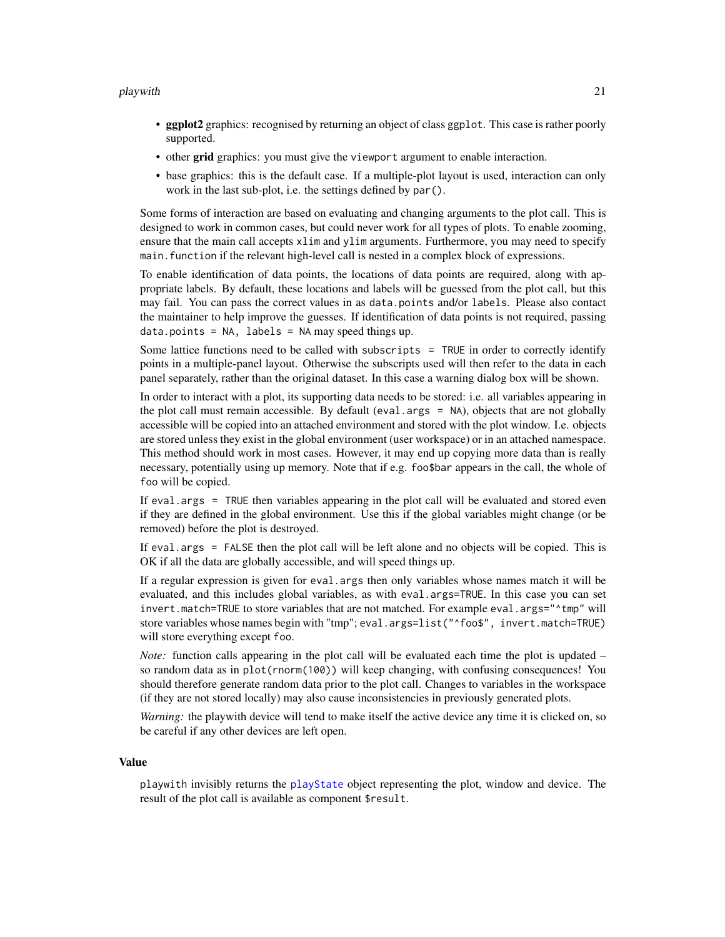#### <span id="page-20-0"></span>playwith 21

- ggplot2 graphics: recognised by returning an object of class ggplot. This case is rather poorly supported.
- other grid graphics: you must give the viewport argument to enable interaction.
- base graphics: this is the default case. If a multiple-plot layout is used, interaction can only work in the last sub-plot, i.e. the settings defined by par().

Some forms of interaction are based on evaluating and changing arguments to the plot call. This is designed to work in common cases, but could never work for all types of plots. To enable zooming, ensure that the main call accepts xlim and ylim arguments. Furthermore, you may need to specify main.function if the relevant high-level call is nested in a complex block of expressions.

To enable identification of data points, the locations of data points are required, along with appropriate labels. By default, these locations and labels will be guessed from the plot call, but this may fail. You can pass the correct values in as data.points and/or labels. Please also contact the maintainer to help improve the guesses. If identification of data points is not required, passing  $data.points = NA, labels = NA may speed things up.$ 

Some lattice functions need to be called with subscripts  $=$  TRUE in order to correctly identify points in a multiple-panel layout. Otherwise the subscripts used will then refer to the data in each panel separately, rather than the original dataset. In this case a warning dialog box will be shown.

In order to interact with a plot, its supporting data needs to be stored: i.e. all variables appearing in the plot call must remain accessible. By default (eval.args = NA), objects that are not globally accessible will be copied into an attached environment and stored with the plot window. I.e. objects are stored unless they exist in the global environment (user workspace) or in an attached namespace. This method should work in most cases. However, it may end up copying more data than is really necessary, potentially using up memory. Note that if e.g. foo\$bar appears in the call, the whole of foo will be copied.

If eval.args = TRUE then variables appearing in the plot call will be evaluated and stored even if they are defined in the global environment. Use this if the global variables might change (or be removed) before the plot is destroyed.

If eval.args = FALSE then the plot call will be left alone and no objects will be copied. This is OK if all the data are globally accessible, and will speed things up.

If a regular expression is given for eval.args then only variables whose names match it will be evaluated, and this includes global variables, as with eval.args=TRUE. In this case you can set invert.match=TRUE to store variables that are not matched. For example eval.args="^tmp" will store variables whose names begin with "tmp"; eval.args=list("^foo\$", invert.match=TRUE) will store everything except foo.

*Note:* function calls appearing in the plot call will be evaluated each time the plot is updated – so random data as in plot(rnorm(100)) will keep changing, with confusing consequences! You should therefore generate random data prior to the plot call. Changes to variables in the workspace (if they are not stored locally) may also cause inconsistencies in previously generated plots.

*Warning:* the playwith device will tend to make itself the active device any time it is clicked on, so be careful if any other devices are left open.

#### Value

playwith invisibly returns the [playState](#page-15-1) object representing the plot, window and device. The result of the plot call is available as component \$result.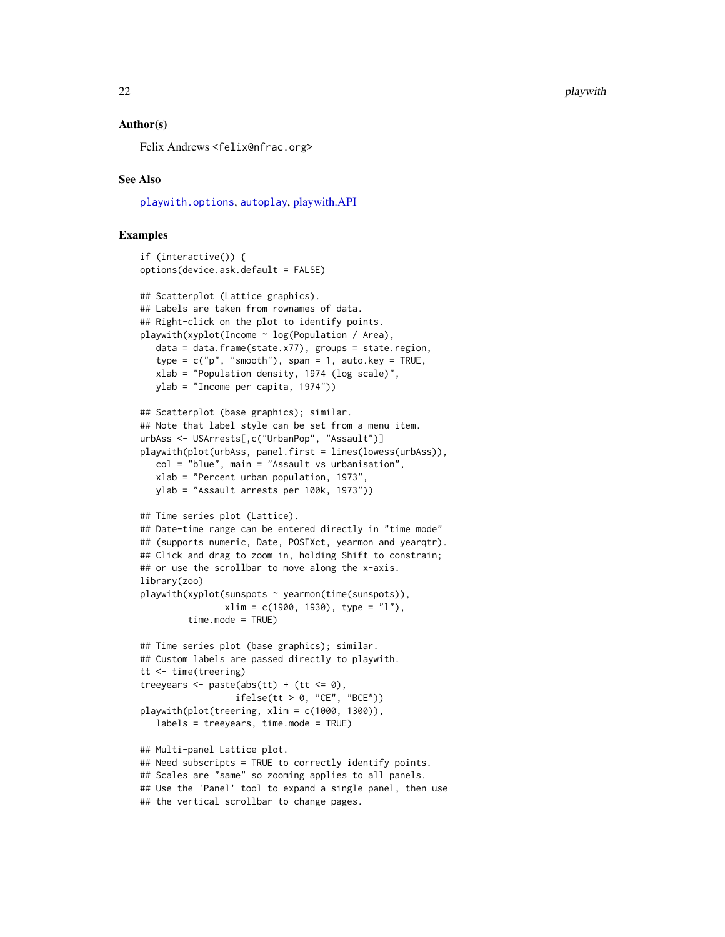<span id="page-21-0"></span>22 playwith  $\blacksquare$ 

#### Author(s)

Felix Andrews <felix@nfrac.org>

# See Also

[playwith.options](#page-28-1), [autoplay](#page-1-1), [playwith.API](#page-25-1)

# Examples

```
if (interactive()) {
options(device.ask.default = FALSE)
## Scatterplot (Lattice graphics).
## Labels are taken from rownames of data.
## Right-click on the plot to identify points.
playwith(xyplot(Income ~ log(Population / Area),
  data = data.frame(state.x77), groups = state.region,
   type = c("p", "smooth"), span = 1, auto.key = TRUE,
  xlab = "Population density, 1974 (log scale)",
  ylab = "Income per capita, 1974"))
## Scatterplot (base graphics); similar.
## Note that label style can be set from a menu item.
urbAss <- USArrests[,c("UrbanPop", "Assault")]
playwith(plot(urbAss, panel.first = lines(lowess(urbAss)),
  col = "blue", main = "Assault vs urbanisation",
  xlab = "Percent urban population, 1973",
  ylab = "Assault arrests per 100k, 1973"))
## Time series plot (Lattice).
## Date-time range can be entered directly in "time mode"
## (supports numeric, Date, POSIXct, yearmon and yearqtr).
## Click and drag to zoom in, holding Shift to constrain;
## or use the scrollbar to move along the x-axis.
library(zoo)
playwith(xyplot(sunspots ~ yearmon(time(sunspots)),
                xlim = c(1900, 1930), type = "l"),
         time.mode = TRUE)
## Time series plot (base graphics); similar.
## Custom labels are passed directly to playwith.
tt <- time(treering)
treeyears \leq paste(abs(tt) + (tt \leq \theta),
                  ifelse(tt > 0, "CE", "BCE"))playwith(plot(treering, xlim = c(1000, 1300)),
  labels = treeyears, time.mode = TRUE)
## Multi-panel Lattice plot.
## Need subscripts = TRUE to correctly identify points.
## Scales are "same" so zooming applies to all panels.
## Use the 'Panel' tool to expand a single panel, then use
## the vertical scrollbar to change pages.
```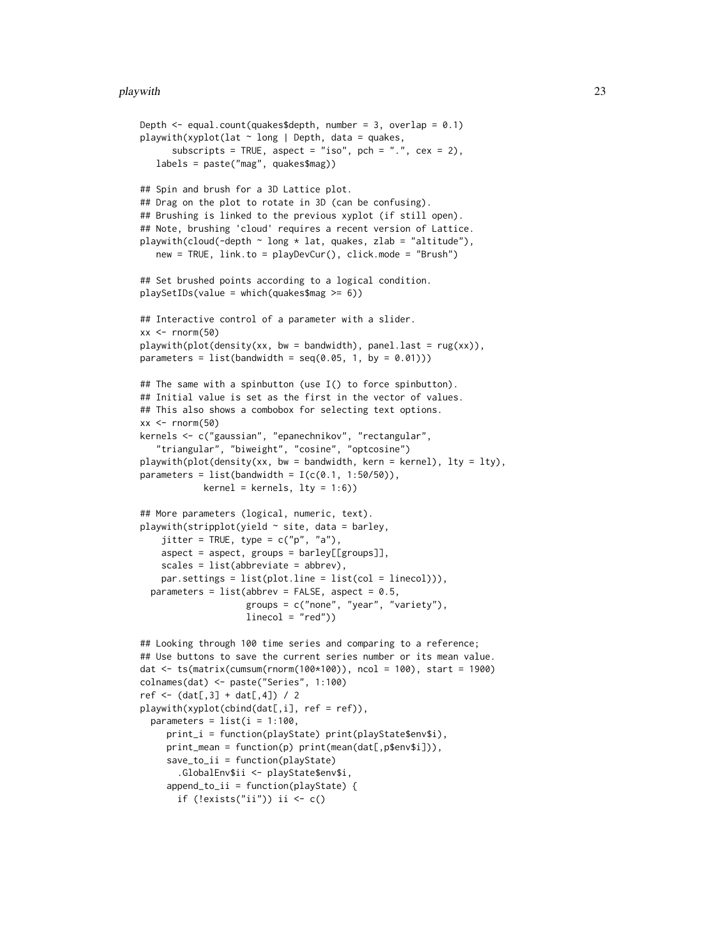#### playwith 23

```
Depth \leq equal.count(quakes$depth, number = 3, overlap = 0.1)
playwith(xyplot(lat \sim long | Depth, data = quakes,
      subscripts = TRUE, aspect = "iso", pch = ".", cex = 2),
  labels = paste("mag", quakes$mag))
## Spin and brush for a 3D Lattice plot.
## Drag on the plot to rotate in 3D (can be confusing).
## Brushing is linked to the previous xyplot (if still open).
## Note, brushing 'cloud' requires a recent version of Lattice.
playwith(cloud(-depth \sim long \star lat, quakes, zlab = "altitude"),
  new = TRUE, link.to = playDevCur(), click.mode = "Brush")
## Set brushed points according to a logical condition.
playSetIDs(value = which(quakes$mag >= 6))
## Interactive control of a parameter with a slider.
xx < - rnorm(50)
playwith(plot(density(xx, bw = bandwidth), panel.last = rug(xx)),
parameters = list(bandwidth = seq(0.05, 1, by = 0.01)))
## The same with a spinbutton (use I() to force spinbutton).
## Initial value is set as the first in the vector of values.
## This also shows a combobox for selecting text options.
xx < - rnorm(50)kernels <- c("gaussian", "epanechnikov", "rectangular",
   "triangular", "biweight", "cosine", "optcosine")
playwith(plot(density(xx, bw = bandwidth, kern = kernel), lty = lty),
parameters = list(bandwidth = I(c(0.1, 1:50/50)),kernel = kernels, lty = 1:6)## More parameters (logical, numeric, text).
playwith(stripplot(yield \sim site, data = barley,
    jitter = TRUE, type = c("p", "a"),
    aspect = aspect, groups = barley[[groups]],
   scales = list(abbreviate = abbrev),
    par.settings = list(plot.line = list(col = linecol))),
 parameters = list(abbrev = FALSE, aspect = 0.5,
                    groups = c("none", "year", "variety"),
                    linecol = "red")## Looking through 100 time series and comparing to a reference;
## Use buttons to save the current series number or its mean value.
dat <- ts(matrix(cumsum(rnorm(100*100)), ncol = 100), start = 1900)
colnames(dat) <- paste("Series", 1:100)
ref \leq (dat[,3] + dat[,4]) / 2
playwith(xyplot(cbind(data[,i], ref = ref)),parameters = list(i = 1:100,print_i = function(playState) print(playState$env$i),
     print_mean = function(p) print(mean(dat[,p$env$i])),
     save_to_ii = function(playState)
       .GlobalEnv$ii <- playState$env$i,
     append_to_ii = function(playState) {
      if (!exists("ii")) ii \leq c()
```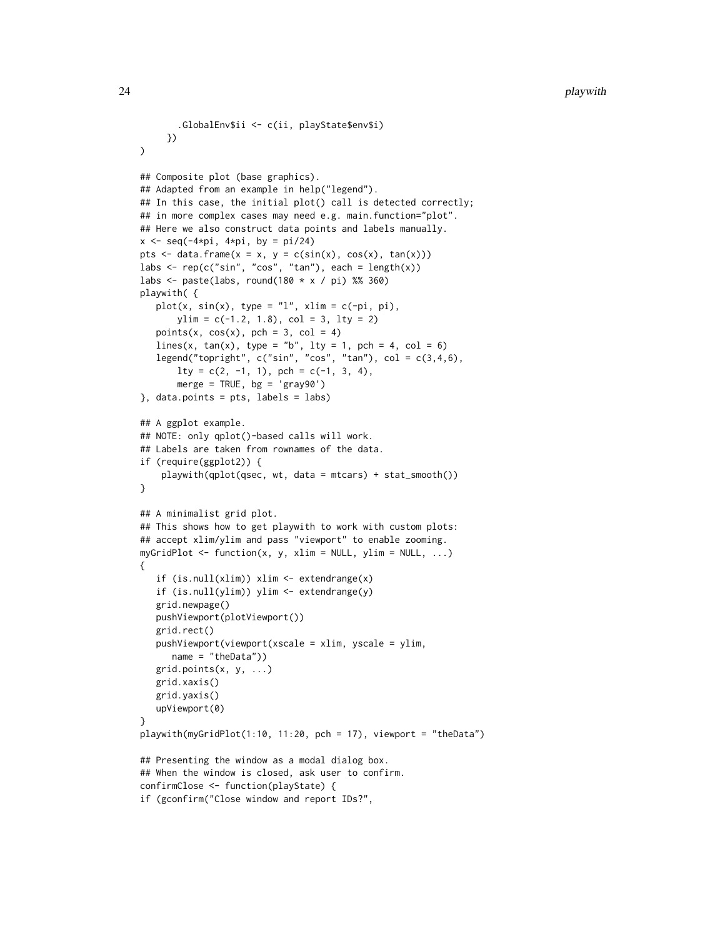```
.GlobalEnv$ii <- c(ii, playState$env$i)
     })
)
## Composite plot (base graphics).
## Adapted from an example in help("legend").
## In this case, the initial plot() call is detected correctly;
## in more complex cases may need e.g. main.function="plot".
## Here we also construct data points and labels manually.
x \leq -\text{seq}(-4 \times pi, 4 \times pi, by = pi/24)pts \le data.frame(x = x, y = c(sin(x), cos(x), tan(x)))
labs \leq rep(c("sin", "cos", "tan"), each = length(x))
labs \leq paste(labs, round(180 \star x / pi) %% 360)
playwith( {
   plot(x, sin(x), type = "l", xlim = c(-pi, pi),ylim = c(-1.2, 1.8), col = 3, lty = 2)points(x, cos(x), pch = 3, col = 4)lines(x, tan(x), type = "b", 1ty = 1, pch = 4, col = 6)legend("topright", c("sin", "cos", "tan"), col = c(3,4,6),lty = c(2, -1, 1), pch = c(-1, 3, 4),
       merge = TRUE, bg = 'gray90')}, data.points = pts, labels = labs)
## A ggplot example.
## NOTE: only qplot()-based calls will work.
## Labels are taken from rownames of the data.
if (require(ggplot2)) {
    playwith(qplot(qsec, wt, data = mtcars) + stat_smooth())
}
## A minimalist grid plot.
## This shows how to get playwith to work with custom plots:
## accept xlim/ylim and pass "viewport" to enable zooming.
myGridPlot \leq function(x, y, xlim = NULL, ylim = NULL, ...)
{
   if (is.null(xlim)) xlim <- extendrange(x)
   if (is.null(ylim)) ylim <- extendrange(y)
   grid.newpage()
   pushViewport(plotViewport())
   grid.rect()
   pushViewport(viewport(xscale = xlim, yscale = ylim,
      name = "theData"))
   grid.points(x, y, ...)
   grid.xaxis()
   grid.yaxis()
   upViewport(0)
}
playwith(myGridPlot(1:10, 11:20, pch = 17), viewport = "theData")
## Presenting the window as a modal dialog box.
## When the window is closed, ask user to confirm.
confirmClose <- function(playState) {
if (gconfirm("Close window and report IDs?",
```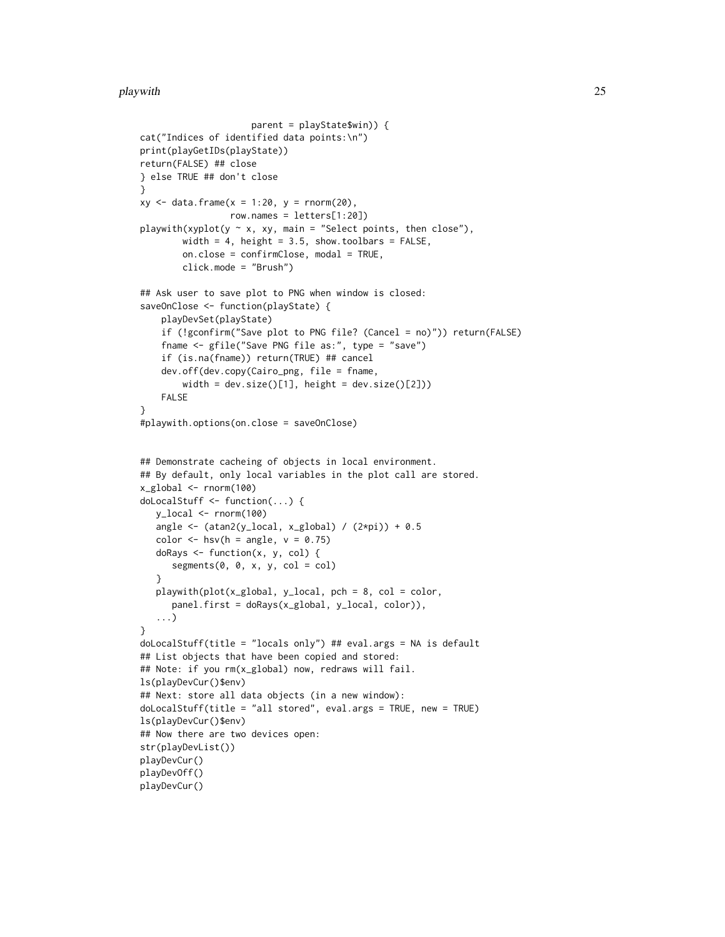#### playwith 25

```
parent = playState$win)) {
cat("Indices of identified data points:\n")
print(playGetIDs(playState))
return(FALSE) ## close
} else TRUE ## don't close
}
xy \leq - data.frame(x = 1:20, y =rnorm(20),row.names = letters[1:20])
playwith(xyplot(y \sim x, xy, main = "Select points, then close"),
        width = 4, height = 3.5, show.toolbars = FALSE,
        on.close = confirmClose, modal = TRUE,
        click.mode = "Brush")
## Ask user to save plot to PNG when window is closed:
saveOnClose <- function(playState) {
    playDevSet(playState)
    if (!gconfirm("Save plot to PNG file? (Cancel = no)")) return(FALSE)
    fname <- gfile("Save PNG file as:", type = "save")
    if (is.na(fname)) return(TRUE) ## cancel
    dev.off(dev.copy(Cairo_png, file = fname,
        width = dev.size()[1], height = dev.size()[2]))
   FALSE
}
#playwith.options(on.close = saveOnClose)
## Demonstrate cacheing of objects in local environment.
## By default, only local variables in the plot call are stored.
x_global <- rnorm(100)
doLocalStuff <- function(...) {
  y_local <- rnorm(100)
  angle \leq (atan2(y_local, x_global) / (2*pi)) + 0.5
  color \leq hsv(h = angle, v = 0.75)
  doRays \leq function(x, y, col) {
     segments(0, 0, x, y, col = col)}
  playwith(plot(x_global, y_local, pch = 8, col = color,
     panel.first = doRays(x_global, y_local, color)),
   ...)
}
doLocalStuff(title = "locals only") ## eval.args = NA is default
## List objects that have been copied and stored:
## Note: if you rm(x_global) now, redraws will fail.
ls(playDevCur()$env)
## Next: store all data objects (in a new window):
doLocalStuff(title = "all stored", eval.args = TRUE, new = TRUE)
ls(playDevCur()$env)
## Now there are two devices open:
str(playDevList())
playDevCur()
playDevOff()
playDevCur()
```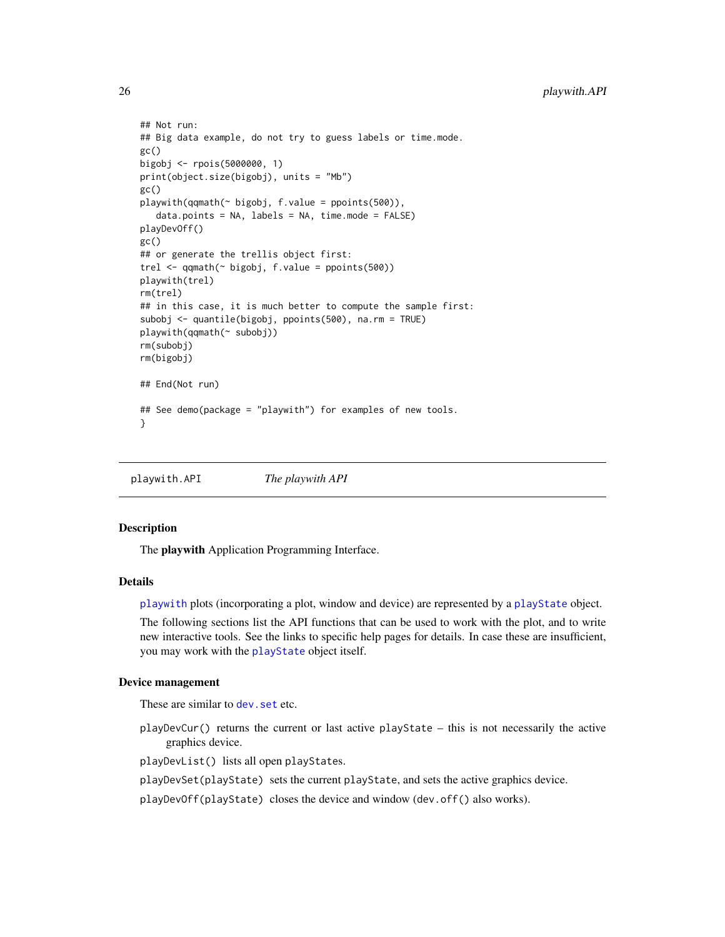```
## Not run:
## Big data example, do not try to guess labels or time.mode.
gc()
bigobj <- rpois(5000000, 1)
print(object.size(bigobj), units = "Mb")
gc()playwith(qqmath(~ bigobj, f.value = ppoints(500)),
   data.points = NA, labels = NA, time.mode = FALSE)
playDevOff()
gc()
## or generate the trellis object first:
trel <- qqmath(~ bigobj, f.value = ppoints(500))
playwith(trel)
rm(trel)
## in this case, it is much better to compute the sample first:
subobj <- quantile(bigobj, ppoints(500), na.rm = TRUE)
playwith(qqmath(~ subobj))
rm(subobj)
rm(bigobj)
## End(Not run)
## See demo(package = "playwith") for examples of new tools.
}
```
<span id="page-25-1"></span>playwith.API *The playwith API*

# <span id="page-25-2"></span>Description

The playwith Application Programming Interface.

#### Details

[playwith](#page-16-1) plots (incorporating a plot, window and device) are represented by a [playState](#page-15-1) object.

The following sections list the API functions that can be used to work with the plot, and to write new interactive tools. See the links to specific help pages for details. In case these are insufficient, you may work with the [playState](#page-15-1) object itself.

# Device management

These are similar to dev. set etc.

playDevCur() returns the current or last active playState – this is not necessarily the active graphics device.

playDevList() lists all open playStates.

playDevSet(playState) sets the current playState, and sets the active graphics device.

playDevOff(playState) closes the device and window (dev.off() also works).

<span id="page-25-0"></span>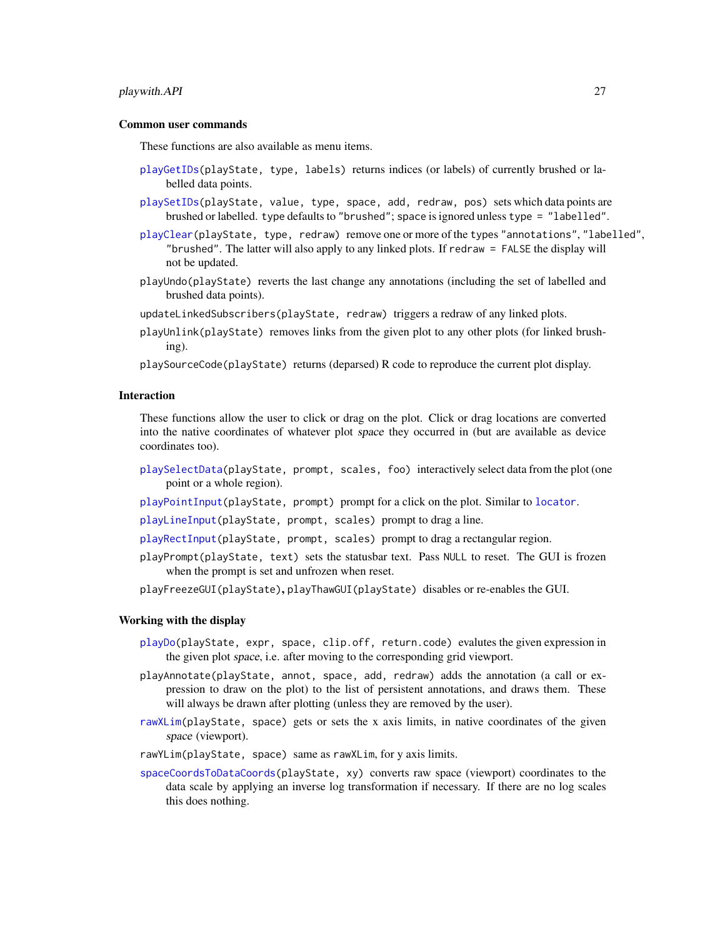#### <span id="page-26-0"></span>playwith.API 27

#### Common user commands

These functions are also available as menu items.

- [playGetIDs\(](#page-10-1)playState, type, labels) returns indices (or labels) of currently brushed or labelled data points.
- [playSetIDs\(](#page-10-2)playState, value, type, space, add, redraw, pos) sets which data points are brushed or labelled. type defaults to "brushed"; space is ignored unless type = "labelled".
- [playClear\(](#page-10-2)playState, type, redraw) remove one or more of the types "annotations", "labelled", "brushed". The latter will also apply to any linked plots. If redraw = FALSE the display will not be updated.
- playUndo(playState) reverts the last change any annotations (including the set of labelled and brushed data points).
- updateLinkedSubscribers(playState, redraw) triggers a redraw of any linked plots.
- playUnlink(playState) removes links from the given plot to any other plots (for linked brushing).
- playSourceCode(playState) returns (deparsed) R code to reproduce the current plot display.

#### Interaction

These functions allow the user to click or drag on the plot. Click or drag locations are converted into the native coordinates of whatever plot space they occurred in (but are available as device coordinates too).

- [playSelectData\(](#page-13-1)playState, prompt, scales, foo) interactively select data from the plot (one point or a whole region).
- [playPointInput\(](#page-12-1)playState, prompt) prompt for a click on the plot. Similar to [locator](#page-0-0).

[playLineInput\(](#page-12-2)playState, prompt, scales) prompt to drag a line.

- [playRectInput\(](#page-12-2)playState, prompt, scales) prompt to drag a rectangular region.
- playPrompt(playState, text) sets the statusbar text. Pass NULL to reset. The GUI is frozen when the prompt is set and unfrozen when reset.
- playFreezeGUI(playState), playThawGUI(playState) disables or re-enables the GUI.

#### Working with the display

- [playDo\(](#page-9-1)playState, expr, space, clip.off, return.code) evalutes the given expression in the given plot space, i.e. after moving to the corresponding grid viewport.
- playAnnotate(playState, annot, space, add, redraw) adds the annotation (a call or expression to draw on the plot) to the list of persistent annotations, and draws them. These will always be drawn after plotting (unless they are removed by the user).
- [rawXLim\(](#page-32-1)playState, space) gets or sets the x axis limits, in native coordinates of the given space (viewport).
- rawYLim(playState, space) same as rawXLim, for y axis limits.
- [spaceCoordsToDataCoords\(](#page-32-2)playState, xy) converts raw space (viewport) coordinates to the data scale by applying an inverse log transformation if necessary. If there are no log scales this does nothing.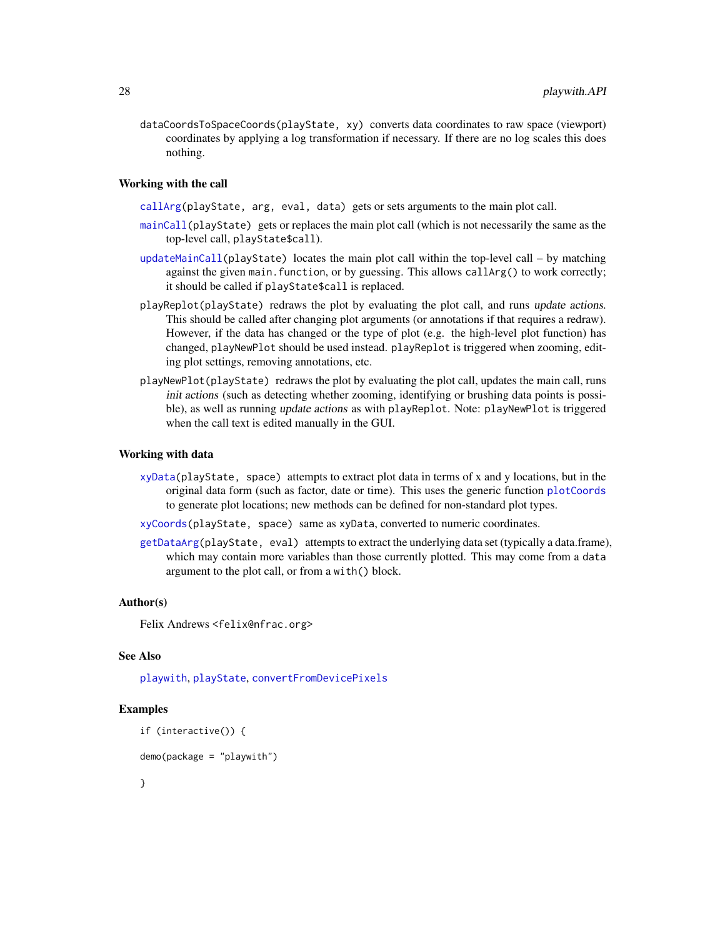<span id="page-27-0"></span>dataCoordsToSpaceCoords(playState, xy) converts data coordinates to raw space (viewport) coordinates by applying a log transformation if necessary. If there are no log scales this does nothing.

#### Working with the call

[callArg\(](#page-2-1)playState, arg, eval, data) gets or sets arguments to the main plot call.

- [mainCall\(](#page-2-2)playState) gets or replaces the main plot call (which is not necessarily the same as the top-level call, playState\$call).
- [updateMainCall\(](#page-2-2)playState) locates the main plot call within the top-level call by matching against the given main. function, or by guessing. This allows callArg() to work correctly; it should be called if playState\$call is replaced.
- playReplot(playState) redraws the plot by evaluating the plot call, and runs update actions. This should be called after changing plot arguments (or annotations if that requires a redraw). However, if the data has changed or the type of plot (e.g. the high-level plot function) has changed, playNewPlot should be used instead. playReplot is triggered when zooming, editing plot settings, removing annotations, etc.
- playNewPlot(playState) redraws the plot by evaluating the plot call, updates the main call, runs init actions (such as detecting whether zooming, identifying or brushing data points is possible), as well as running update actions as with playReplot. Note: playNewPlot is triggered when the call text is edited manually in the GUI.

#### Working with data

- [xyData\(](#page-33-1)playState, space) attempts to extract plot data in terms of x and y locations, but in the original data form (such as factor, date or time). This uses the generic function [plotCoords](#page-30-1) to generate plot locations; new methods can be defined for non-standard plot types.
- [xyCoords\(](#page-33-2)playState, space) same as xyData, converted to numeric coordinates.
- [getDataArg\(](#page-33-1)playState, eval) attempts to extract the underlying data set (typically a data.frame), which may contain more variables than those currently plotted. This may come from a data argument to the plot call, or from a with() block.

#### Author(s)

Felix Andrews <felix@nfrac.org>

### See Also

[playwith](#page-16-1), [playState](#page-15-1), [convertFromDevicePixels](#page-4-2)

#### Examples

```
if (interactive()) {
```

```
demo(package = "playwith")
```
}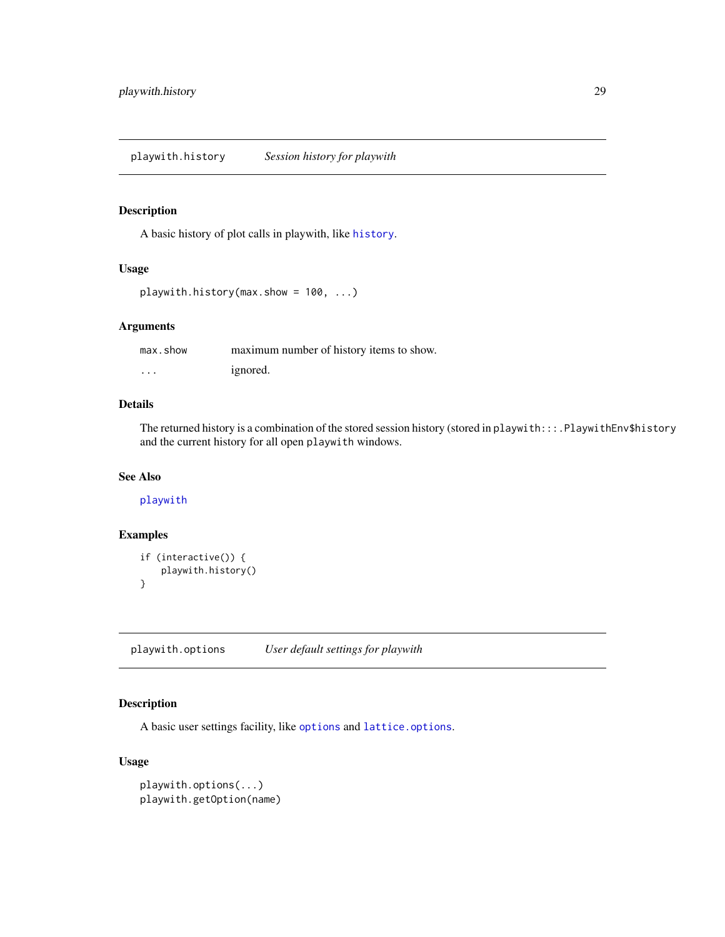<span id="page-28-0"></span>playwith.history *Session history for playwith*

#### Description

A basic history of plot calls in playwith, like [history](#page-0-0).

#### Usage

```
playwith.history(max.show = 100, ...)
```
# Arguments

| max.show | maximum number of history items to show. |
|----------|------------------------------------------|
| .        | ignored.                                 |

# Details

The returned history is a combination of the stored session history (stored in playwith:::.PlaywithEnv\$history and the current history for all open playwith windows.

# See Also

# [playwith](#page-16-1)

# Examples

```
if (interactive()) {
    playwith.history()
}
```
<span id="page-28-1"></span>playwith.options *User default settings for playwith*

# Description

A basic user settings facility, like [options](#page-0-0) and [lattice.options](#page-0-0).

# Usage

```
playwith.options(...)
playwith.getOption(name)
```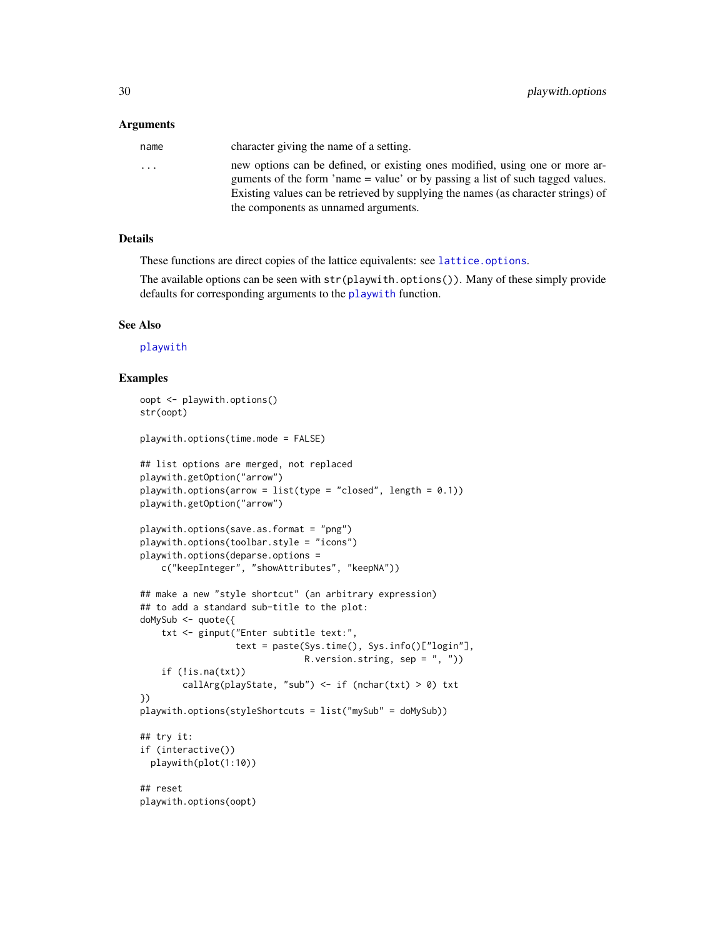#### <span id="page-29-0"></span>**Arguments**

| name     | character giving the name of a setting.                                                                                                                                                                                                             |
|----------|-----------------------------------------------------------------------------------------------------------------------------------------------------------------------------------------------------------------------------------------------------|
| $\cdots$ | new options can be defined, or existing ones modified, using one or more ar-<br>guments of the form 'name = value' or by passing a list of such tagged values.<br>Existing values can be retrieved by supplying the names (as character strings) of |
|          | the components as unnamed arguments.                                                                                                                                                                                                                |

# Details

These functions are direct copies of the lattice equivalents: see [lattice.options](#page-0-0).

The available options can be seen with str(playwith.options()). Many of these simply provide defaults for corresponding arguments to the [playwith](#page-16-1) function.

#### See Also

[playwith](#page-16-1)

#### Examples

```
oopt <- playwith.options()
str(oopt)
playwith.options(time.mode = FALSE)
## list options are merged, not replaced
playwith.getOption("arrow")
playwith.options(arrow = list(type = "closed", length = 0.1))
playwith.getOption("arrow")
playwith.options(save.as.format = "png")
playwith.options(toolbar.style = "icons")
playwith.options(deparse.options =
    c("keepInteger", "showAttributes", "keepNA"))
## make a new "style shortcut" (an arbitrary expression)
## to add a standard sub-title to the plot:
doMySub <- quote({
    txt <- ginput("Enter subtitle text:",
                  text = paste(Sys.time(), Sys.info()["login"],
                               R.version.string, sep = ", ")
    if (!is.na(txt))callArg(playState, "sub") <- if (nchar(txt) > 0) txt
})
playwith.options(styleShortcuts = list("mySub" = doMySub))
## try it:
if (interactive())
  playwith(plot(1:10))
## reset
playwith.options(oopt)
```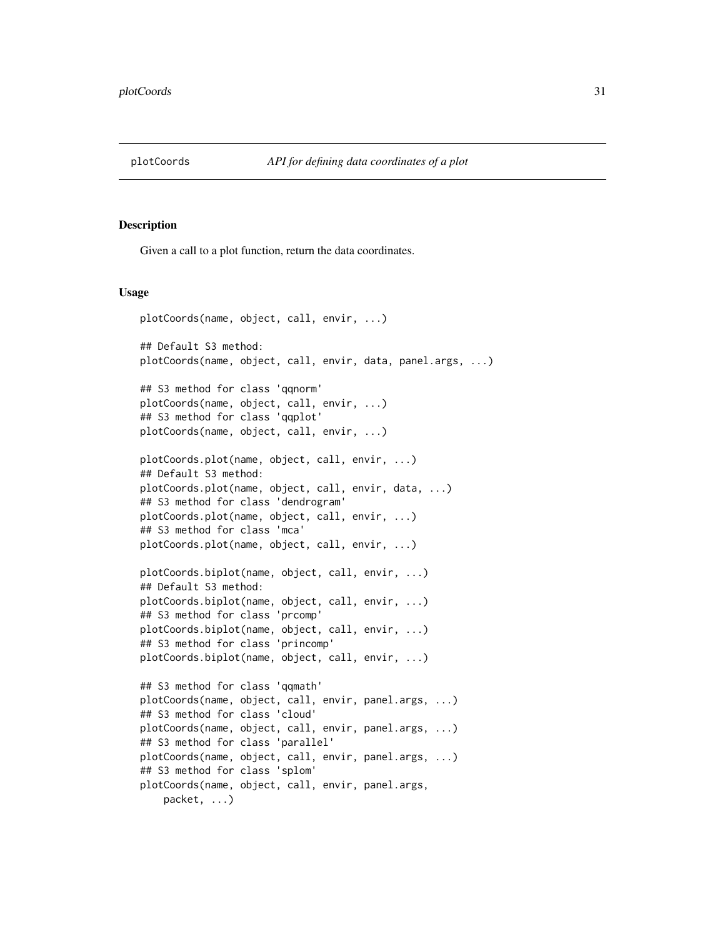<span id="page-30-1"></span><span id="page-30-0"></span>

#### Description

Given a call to a plot function, return the data coordinates.

#### Usage

```
plotCoords(name, object, call, envir, ...)
## Default S3 method:
plotCoords(name, object, call, envir, data, panel.args, ...)
## S3 method for class 'qqnorm'
plotCoords(name, object, call, envir, ...)
## S3 method for class 'qqplot'
plotCoords(name, object, call, envir, ...)
plotCoords.plot(name, object, call, envir, ...)
## Default S3 method:
plotCoords.plot(name, object, call, envir, data, ...)
## S3 method for class 'dendrogram'
plotCoords.plot(name, object, call, envir, ...)
## S3 method for class 'mca'
plotCoords.plot(name, object, call, envir, ...)
plotCoords.biplot(name, object, call, envir, ...)
## Default S3 method:
plotCoords.biplot(name, object, call, envir, ...)
## S3 method for class 'prcomp'
plotCoords.biplot(name, object, call, envir, ...)
## S3 method for class 'princomp'
plotCoords.biplot(name, object, call, envir, ...)
## S3 method for class 'qqmath'
plotCoords(name, object, call, envir, panel.args, ...)
## S3 method for class 'cloud'
plotCoords(name, object, call, envir, panel.args, ...)
## S3 method for class 'parallel'
plotCoords(name, object, call, envir, panel.args, ...)
## S3 method for class 'splom'
plotCoords(name, object, call, envir, panel.args,
   packet, ...)
```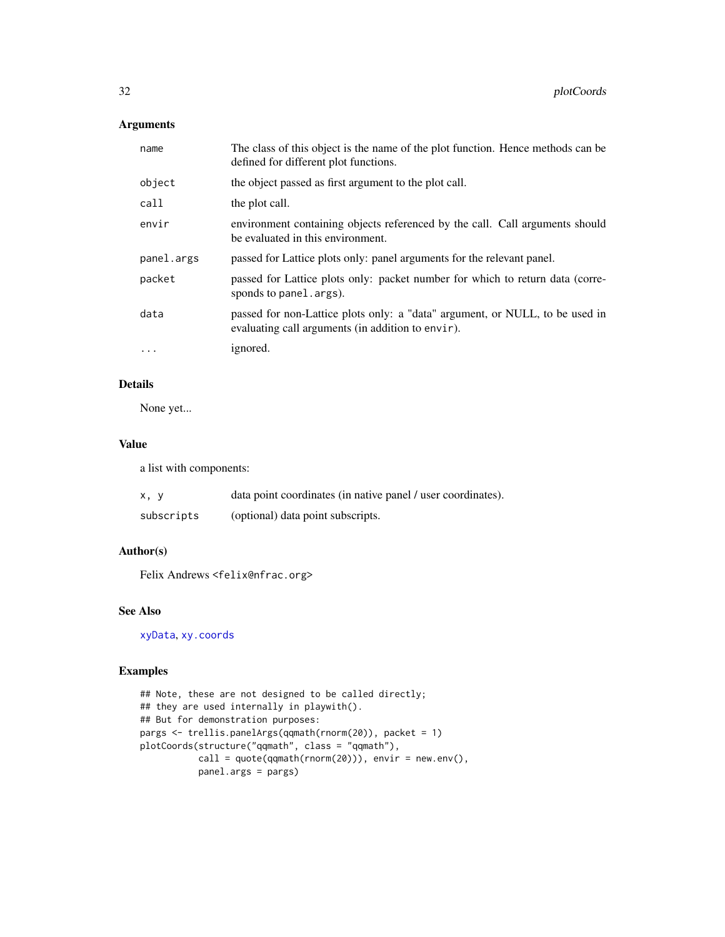# <span id="page-31-0"></span>Arguments

| name       | The class of this object is the name of the plot function. Hence methods can be<br>defined for different plot functions.          |
|------------|-----------------------------------------------------------------------------------------------------------------------------------|
| object     | the object passed as first argument to the plot call.                                                                             |
| call       | the plot call.                                                                                                                    |
| envir      | environment containing objects referenced by the call. Call arguments should<br>be evaluated in this environment.                 |
| panel.args | passed for Lattice plots only: panel arguments for the relevant panel.                                                            |
| packet     | passed for Lattice plots only: packet number for which to return data (corre-<br>sponds to panel.args).                           |
| data       | passed for non-Lattice plots only: a "data" argument, or NULL, to be used in<br>evaluating call arguments (in addition to envir). |
| $\ddotsc$  | ignored.                                                                                                                          |

# Details

None yet...

# Value

a list with components:

| x, y       | data point coordinates (in native panel / user coordinates). |
|------------|--------------------------------------------------------------|
| subscripts | (optional) data point subscripts.                            |

# Author(s)

Felix Andrews <felix@nfrac.org>

# See Also

[xyData](#page-33-1), [xy.coords](#page-0-0)

# Examples

```
## Note, these are not designed to be called directly;
## they are used internally in playwith().
## But for demonstration purposes:
pargs <- trellis.panelArgs(qqmath(rnorm(20)), packet = 1)
plotCoords(structure("qqmath", class = "qqmath"),
           call = quote(qqmath(rnorm(20))), envir = new env(),panel.args = pargs)
```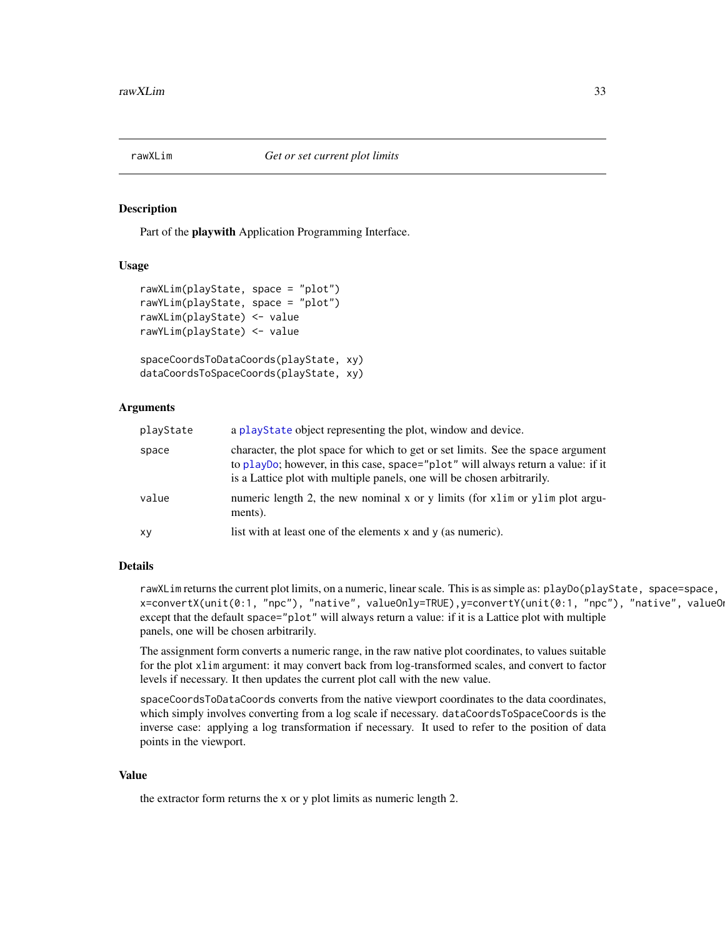<span id="page-32-1"></span><span id="page-32-0"></span>

#### <span id="page-32-2"></span>Description

Part of the playwith Application Programming Interface.

#### Usage

```
rawXLim(playState, space = "plot")
rawYLim(playState, space = "plot")
rawXLim(playState) <- value
rawYLim(playState) <- value
spaceCoordsToDataCoords(playState, xy)
dataCoordsToSpaceCoords(playState, xy)
```
#### Arguments

| playState | a playState object representing the plot, window and device.                                                                                                                                                                                    |
|-----------|-------------------------------------------------------------------------------------------------------------------------------------------------------------------------------------------------------------------------------------------------|
| space     | character, the plot space for which to get or set limits. See the space argument<br>to playDo; however, in this case, space="plot" will always return a value: if it<br>is a Lattice plot with multiple panels, one will be chosen arbitrarily. |
| value     | numeric length 2, the new nominal x or y limits (for xlim or ylim plot argu-<br>ments).                                                                                                                                                         |
| xy        | list with at least one of the elements $x$ and $y$ (as numeric).                                                                                                                                                                                |

# Details

rawXLim returns the current plot limits, on a numeric, linear scale. This is as simple as: playDo(playState, space=space, x=convertX(unit(0:1, "npc"), "native", valueOnly=TRUE),y=convertY(unit(0:1, "npc"), "native", valueOn except that the default space="plot" will always return a value: if it is a Lattice plot with multiple panels, one will be chosen arbitrarily.

The assignment form converts a numeric range, in the raw native plot coordinates, to values suitable for the plot xlim argument: it may convert back from log-transformed scales, and convert to factor levels if necessary. It then updates the current plot call with the new value.

spaceCoordsToDataCoords converts from the native viewport coordinates to the data coordinates, which simply involves converting from a log scale if necessary. dataCoordsToSpaceCoords is the inverse case: applying a log transformation if necessary. It used to refer to the position of data points in the viewport.

# Value

the extractor form returns the x or y plot limits as numeric length 2.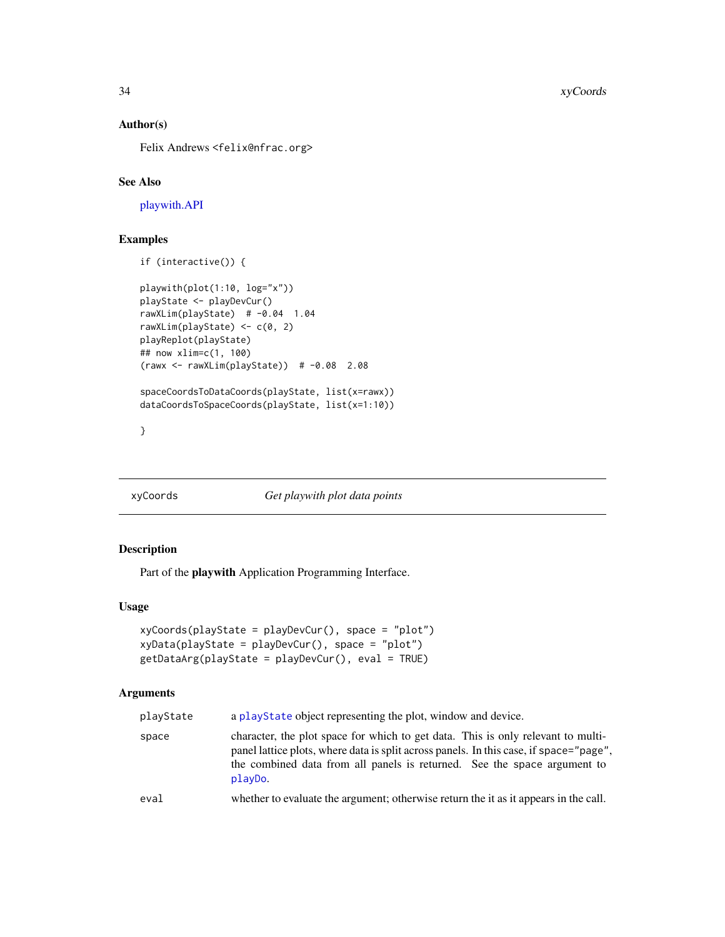### Author(s)

Felix Andrews <felix@nfrac.org>

# See Also

[playwith.API](#page-25-1)

# Examples

```
if (interactive()) {
playwith(plot(1:10, log="x"))
playState <- playDevCur()
rawXLim(playState) # -0.04 1.04
rawXLim(playState) \leq c(0, 2)
playReplot(playState)
## now xlim=c(1, 100)
(rawx <- rawXLim(playState)) # -0.08 2.08
spaceCoordsToDataCoords(playState, list(x=rawx))
dataCoordsToSpaceCoords(playState, list(x=1:10))
```
}

# <span id="page-33-2"></span>xyCoords *Get playwith plot data points*

# <span id="page-33-1"></span>Description

Part of the playwith Application Programming Interface.

# Usage

```
xyCoords(playState = playDevCur(), space = "plot")
xyData(playState = playDevCur(), space = "plot")
getDataArg(playState = playDevCur(), eval = TRUE)
```
#### Arguments

| playState | a playState object representing the plot, window and device.                                                                                                                                                                                                      |
|-----------|-------------------------------------------------------------------------------------------------------------------------------------------------------------------------------------------------------------------------------------------------------------------|
| space     | character, the plot space for which to get data. This is only relevant to multi-<br>panel lattice plots, where data is split across panels. In this case, if space="page",<br>the combined data from all panels is returned. See the space argument to<br>playDo. |
| eval      | whether to evaluate the argument; otherwise return the it as it appears in the call.                                                                                                                                                                              |

<span id="page-33-0"></span>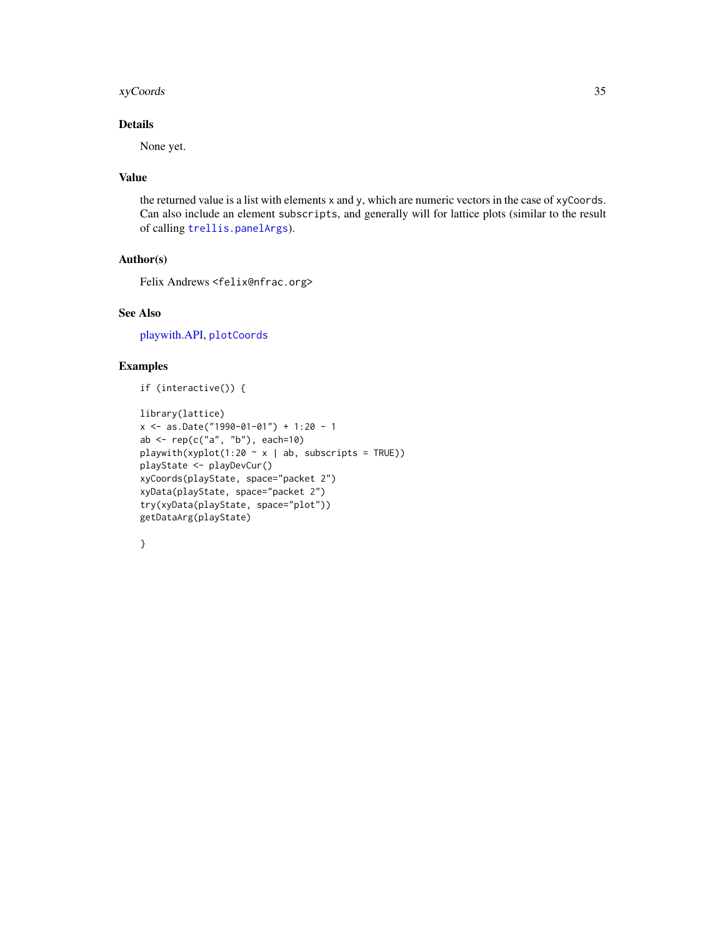#### <span id="page-34-0"></span>xyCoords 35

# Details

None yet.

# Value

the returned value is a list with elements x and y, which are numeric vectors in the case of xyCoords. Can also include an element subscripts, and generally will for lattice plots (similar to the result of calling [trellis.panelArgs](#page-0-0)).

# Author(s)

Felix Andrews <felix@nfrac.org>

# See Also

[playwith.API,](#page-25-1) [plotCoords](#page-30-1)

# Examples

```
if (interactive()) {
```

```
library(lattice)
x <- as.Date("1990-01-01") + 1:20 - 1
ab \leq rep(c("a", "b"), each=10)
playwith(xyplot(1:20 \sim x | ab, subscripts = TRUE))
playState <- playDevCur()
xyCoords(playState, space="packet 2")
xyData(playState, space="packet 2")
try(xyData(playState, space="plot"))
getDataArg(playState)
```

| × |
|---|
|   |
| ٠ |
| I |
| I |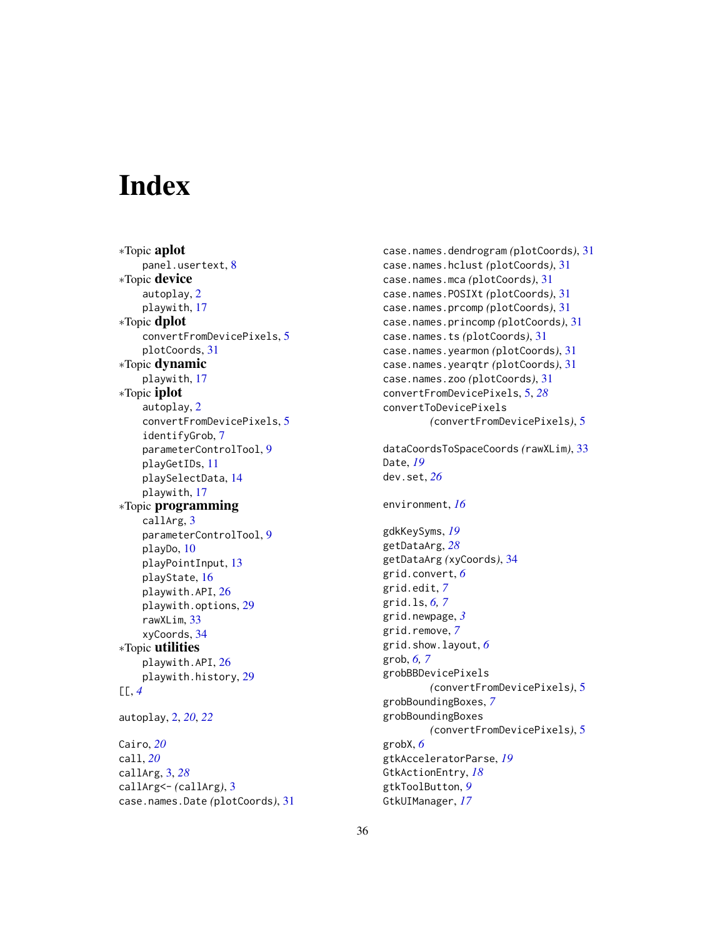# <span id="page-35-0"></span>**Index**

∗Topic aplot panel.usertext, [8](#page-7-0) ∗Topic device autoplay, [2](#page-1-0) playwith, [17](#page-16-0) ∗Topic dplot convertFromDevicePixels, [5](#page-4-0) plotCoords, [31](#page-30-0) ∗Topic dynamic playwith, [17](#page-16-0) ∗Topic iplot autoplay, [2](#page-1-0) convertFromDevicePixels, [5](#page-4-0) identifyGrob, [7](#page-6-0) parameterControlTool, [9](#page-8-0) playGetIDs, [11](#page-10-0) playSelectData, [14](#page-13-0) playwith, [17](#page-16-0) ∗Topic programming callArg, [3](#page-2-0) parameterControlTool, [9](#page-8-0) playDo, [10](#page-9-0) playPointInput, [13](#page-12-0) playState, [16](#page-15-0) playwith.API, [26](#page-25-0) playwith.options, [29](#page-28-0) rawXLim, [33](#page-32-0) xyCoords, [34](#page-33-0) ∗Topic utilities playwith.API, [26](#page-25-0) playwith.history, [29](#page-28-0) [[, *[4](#page-3-0)* autoplay, [2,](#page-1-0) *[20](#page-19-0)*, *[22](#page-21-0)* Cairo, *[20](#page-19-0)* call, *[20](#page-19-0)* callArg, [3,](#page-2-0) *[28](#page-27-0)* callArg<- *(*callArg*)*, [3](#page-2-0)

case.names.Date *(*plotCoords*)*, [31](#page-30-0)

case.names.dendrogram *(*plotCoords*)*, [31](#page-30-0) case.names.hclust *(*plotCoords*)*, [31](#page-30-0) case.names.mca *(*plotCoords*)*, [31](#page-30-0) case.names.POSIXt *(*plotCoords*)*, [31](#page-30-0) case.names.prcomp *(*plotCoords*)*, [31](#page-30-0) case.names.princomp *(*plotCoords*)*, [31](#page-30-0) case.names.ts *(*plotCoords*)*, [31](#page-30-0) case.names.yearmon *(*plotCoords*)*, [31](#page-30-0) case.names.yearqtr *(*plotCoords*)*, [31](#page-30-0) case.names.zoo *(*plotCoords*)*, [31](#page-30-0) convertFromDevicePixels, [5,](#page-4-0) *[28](#page-27-0)* convertToDevicePixels *(*convertFromDevicePixels*)*, [5](#page-4-0) dataCoordsToSpaceCoords *(*rawXLim*)*, [33](#page-32-0) Date, *[19](#page-18-0)* dev.set, *[26](#page-25-0)* environment, *[16](#page-15-0)* gdkKeySyms, *[19](#page-18-0)* getDataArg, *[28](#page-27-0)* getDataArg *(*xyCoords*)*, [34](#page-33-0) grid.convert, *[6](#page-5-0)* grid.edit, *[7](#page-6-0)* grid.ls, *[6,](#page-5-0) [7](#page-6-0)* grid.newpage, *[3](#page-2-0)* grid.remove, *[7](#page-6-0)* grid.show.layout, *[6](#page-5-0)* grob, *[6,](#page-5-0) [7](#page-6-0)* grobBBDevicePixels *(*convertFromDevicePixels*)*, [5](#page-4-0) grobBoundingBoxes, *[7](#page-6-0)* grobBoundingBoxes *(*convertFromDevicePixels*)*, [5](#page-4-0) grobX, *[6](#page-5-0)* gtkAcceleratorParse, *[19](#page-18-0)* GtkActionEntry, *[18](#page-17-0)* gtkToolButton, *[9](#page-8-0)* GtkUIManager, *[17](#page-16-0)*